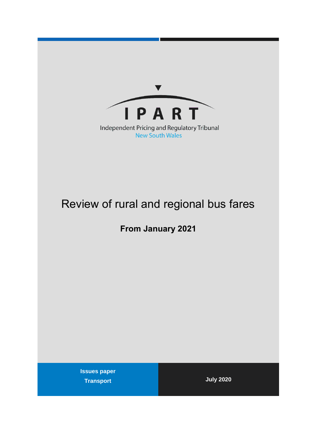

# Review of rural and regional bus fares

**From January 2021**

**Issues paper Transport July 2020**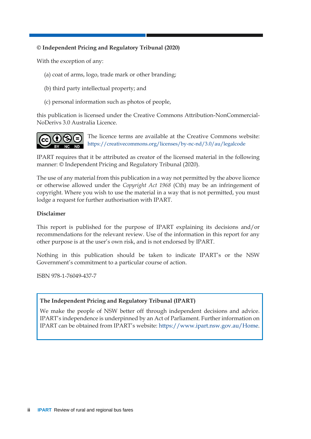## **© Independent Pricing and Regulatory Tribunal (2020)**

With the exception of any:

- (a) coat of arms, logo, trade mark or other branding;
- (b) third party intellectual property; and
- (c) personal information such as photos of people,

this publication is licensed under the Creative Commons Attribution-NonCommercial-NoDerivs 3.0 Australia Licence.



The licence terms are available at the Creative Commons website: <https://creativecommons.org/licenses/by-nc-nd/3.0/au/legalcode>

IPART requires that it be attributed as creator of the licensed material in the following manner: © Independent Pricing and Regulatory Tribunal (2020).

The use of any material from this publication in a way not permitted by the above licence or otherwise allowed under the *Copyright Act 1968* (Cth) may be an infringement of copyright. Where you wish to use the material in a way that is not permitted, you must lodge a request for further authorisation with IPART.

### **Disclaimer**

This report is published for the purpose of IPART explaining its decisions and/or recommendations for the relevant review. Use of the information in this report for any other purpose is at the user's own risk, and is not endorsed by IPART.

Nothing in this publication should be taken to indicate IPART's or the NSW Government's commitment to a particular course of action.

ISBN 978-1-76049-437-7

### **The Independent Pricing and Regulatory Tribunal (IPART)**

We make the people of NSW better off through independent decisions and advice. IPART's independence is underpinned by an Act of Parliament. Further information on IPART can be obtained from IPART's website: [https://www.ipart.nsw.gov.au/Home.](https://www.ipart.nsw.gov.au/Home)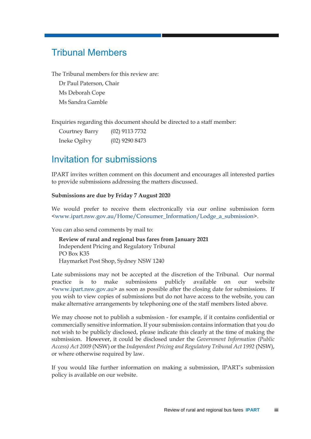# <span id="page-2-0"></span>Tribunal Members

The Tribunal members for this review are:

Dr Paul Paterson, Chair Ms Deborah Cope Ms Sandra Gamble

Enquiries regarding this document should be directed to a staff member:

| Courtney Barry | $(02)$ 9113 7732 |
|----------------|------------------|
| Ineke Ogilvy   | $(02)$ 9290 8473 |

# <span id="page-2-1"></span>Invitation for submissions

IPART invites written comment on this document and encourages all interested parties to provide submissions addressing the matters discussed.

### **Submissions are due by Friday 7 August 2020**

We would prefer to receive them electronically via our online submission form [<www.ipart.nsw.gov.au/Home/Consumer\\_Information/Lodge\\_a\\_submission>](http://www.ipart.nsw.gov.au/Home/Consumer_Information/Lodge_a_submission).

You can also send comments by mail to:

**Review of rural and regional bus fares from January 2021** Independent Pricing and Regulatory Tribunal PO Box K35 Haymarket Post Shop, Sydney NSW 1240

Late submissions may not be accepted at the discretion of the Tribunal. Our normal practice is to make submissions publicly available on our website [<www.ipart.nsw.gov.au>](http://www.ipart.nsw.gov.au/) as soon as possible after the closing date for submissions. If you wish to view copies of submissions but do not have access to the website, you can make alternative arrangements by telephoning one of the staff members listed above.

We may choose not to publish a submission - for example, if it contains confidential or commercially sensitive information. If your submission contains information that you do not wish to be publicly disclosed, please indicate this clearly at the time of making the submission. However, it could be disclosed under the *Government Information (Public Access) Act 2009* (NSW) or the *Independent Pricing and Regulatory Tribunal Act 1992* (NSW), or where otherwise required by law.

If you would like further information on making a submission, IPART's submission policy is available on our website.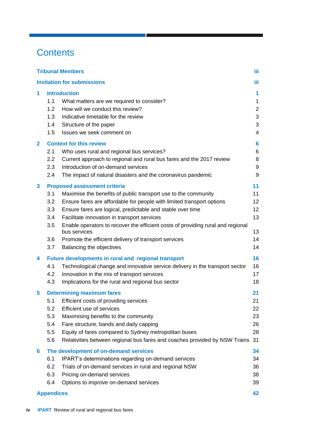# **Contents**

|              |                                               | <b>Tribunal Members</b>                                                                                                                                                                                                                                                                                                                                                                                                                                                            | iΪi                                                                               |
|--------------|-----------------------------------------------|------------------------------------------------------------------------------------------------------------------------------------------------------------------------------------------------------------------------------------------------------------------------------------------------------------------------------------------------------------------------------------------------------------------------------------------------------------------------------------|-----------------------------------------------------------------------------------|
|              |                                               | <b>Invitation for submissions</b>                                                                                                                                                                                                                                                                                                                                                                                                                                                  | iΪi                                                                               |
| 1            | 1.1<br>1.2<br>1.3<br>1.4<br>1.5               | <b>Introduction</b><br>What matters are we required to consider?<br>How will we conduct this review?<br>Indicative timetable for the review<br>Structure of the paper<br>Issues we seek comment on                                                                                                                                                                                                                                                                                 | $\mathbf{1}$<br>$\mathbf{1}$<br>$\overline{c}$<br>$\mathbf{3}$<br>$\sqrt{3}$<br>4 |
| $\mathbf{2}$ | 2.1<br>$2.2\phantom{0}$<br>2.3<br>2.4         | <b>Context for this review</b><br>Who uses rural and regional bus services?<br>Current approach to regional and rural bus fares and the 2017 review<br>Introduction of on-demand services<br>The impact of natural disasters and the coronavirus pandemic                                                                                                                                                                                                                          | $6\phantom{a}$<br>6<br>8<br>9<br>9                                                |
| 3            | 3.1<br>3.2<br>3.3<br>3.4<br>3.5<br>3.6<br>3.7 | <b>Proposed assessment criteria</b><br>Maximise the benefits of public transport use to the community<br>Ensure fares are affordable for people with limited transport options<br>Ensure fares are logical, predictable and stable over time<br>Facilitate innovation in transport services<br>Enable operators to recover the efficient costs of providing rural and regional<br>bus services<br>Promote the efficient delivery of transport services<br>Balancing the objectives | 11<br>11<br>12<br>12<br>13<br>13<br>14<br>14                                      |
| 4            | 4.1<br>4.2<br>4.3                             | <b>Future developments in rural and regional transport</b><br>Technological change and innovative service delivery in the transport sector<br>Innovation in the mix of transport services<br>Implications for the rural and regional bus sector                                                                                                                                                                                                                                    | 16<br>16<br>17<br>18                                                              |
| 5            | 5.1<br>5.2<br>5.3<br>5.4<br>5.5<br>5.6        | <b>Determining maximum fares</b><br>Efficient costs of providing services<br>Efficient use of services<br>Maximising benefits to the community<br>Fare structure, bands and daily capping<br>Equity of fares compared to Sydney metropolitan buses<br>Relativities between regional bus fares and coaches provided by NSW Trains                                                                                                                                                   | 21<br>21<br>22<br>23<br>26<br>28<br>31                                            |
| 6            | 6.1<br>6.2<br>6.3<br>6.4                      | The development of on-demand services<br>IPART's determinations regarding on-demand services<br>Trials of on-demand services in rural and regional NSW<br>Pricing on-demand services<br>Options to improve on-demand services                                                                                                                                                                                                                                                      | 34<br>34<br>36<br>38<br>39                                                        |
|              | <b>Appendices</b>                             |                                                                                                                                                                                                                                                                                                                                                                                                                                                                                    | 42                                                                                |

a ka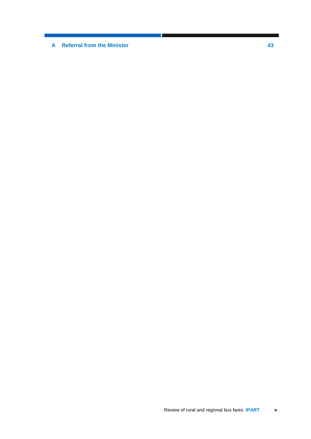**A [Referral from the Minister](#page-48-0) 43**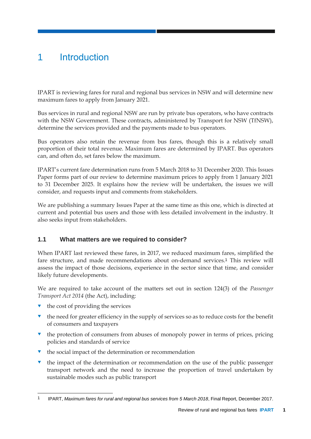# <span id="page-6-0"></span>1 Introduction

IPART is reviewing fares for rural and regional bus services in NSW and will determine new maximum fares to apply from January 2021.

Bus services in rural and regional NSW are run by private bus operators, who have contracts with the NSW Government. These contracts, administered by Transport for NSW (TfNSW), determine the services provided and the payments made to bus operators.

Bus operators also retain the revenue from bus fares, though this is a relatively small proportion of their total revenue. Maximum fares are determined by IPART. Bus operators can, and often do, set fares below the maximum.

IPART's current fare determination runs from 5 March 2018 to 31 December 2020. This Issues Paper forms part of our review to determine maximum prices to apply from 1 January 2021 to 31 December 2025. It explains how the review will be undertaken, the issues we will consider, and requests input and comments from stakeholders.

We are publishing a summary Issues Paper at the same time as this one, which is directed at current and potential bus users and those with less detailed involvement in the industry. It also seeks input from stakeholders.

# <span id="page-6-1"></span>**1.1 What matters are we required to consider?**

When IPART last reviewed these fares, in 2017, we reduced maximum fares, simplified the fare structure, and made recommendations about on-demand services.<sup>1</sup> This review will assess the impact of those decisions, experience in the sector since that time, and consider likely future developments.

We are required to take account of the matters set out in section 124(3) of the *Passenger Transport Act 2014* (the Act), including:

- $\bullet$  the cost of providing the services
- the need for greater efficiency in the supply of services so as to reduce costs for the benefit of consumers and taxpayers
- $\bullet$  the protection of consumers from abuses of monopoly power in terms of prices, pricing policies and standards of service
- $\bullet$  the social impact of the determination or recommendation
- the impact of the determination or recommendation on the use of the public passenger transport network and the need to increase the proportion of travel undertaken by sustainable modes such as public transport

<sup>-</sup>1 IPART, *Maximum fares for rural and regional bus services from 5 March 2018*, Final Report, December 2017.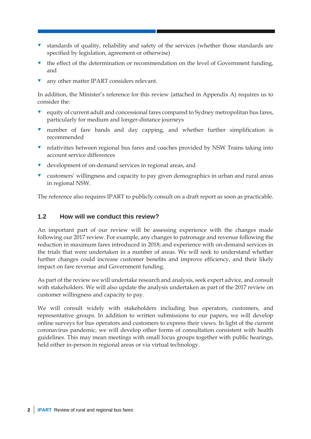- standards of quality, reliability and safety of the services (whether those standards are specified by legislation, agreement or otherwise)
- the effect of the determination or recommendation on the level of Government funding, and
- any other matter IPART considers relevant.

In addition, the Minister's reference for this review (attached in Appendix A) requires us to consider the:

- **v** equity of current adult and concessional fares compared to Sydney metropolitan bus fares, particularly for medium and longer-distance journeys
- number of fare bands and day capping, and whether further simplification is recommended
- **v** relativities between regional bus fares and coaches provided by NSW Trains taking into account service differences
- v development of on-demand services in regional areas, and
- customers' willingness and capacity to pay given demographics in urban and rural areas in regional NSW.

<span id="page-7-0"></span>The reference also requires IPART to publicly consult on a draft report as soon as practicable.

### **1.2 How will we conduct this review?**

An important part of our review will be assessing experience with the changes made following our 2017 review. For example, any changes to patronage and revenue following the reduction in maximum fares introduced in 2018; and experience with on-demand services in the trials that were undertaken in a number of areas. We will seek to understand whether further changes could increase customer benefits and improve efficiency, and their likely impact on fare revenue and Government funding.

As part of the review we will undertake research and analysis, seek expert advice, and consult with stakeholders. We will also update the analysis undertaken as part of the 2017 review on customer willingness and capacity to pay.

We will consult widely with stakeholders including bus operators, customers, and representative groups. In addition to written submissions to our papers, we will develop online surveys for bus operators and customers to express their views. In light of the current coronavirus pandemic, we will develop other forms of consultation consistent with health guidelines. This may mean meetings with small focus groups together with public hearings, held either in-person in regional areas or via virtual technology.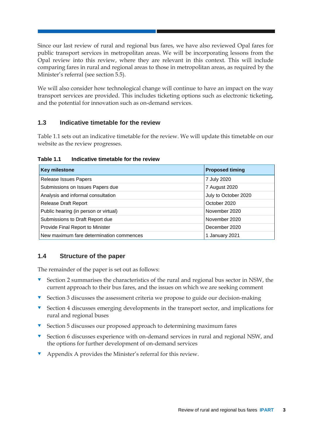Since our last review of rural and regional bus fares, we have also reviewed Opal fares for public transport services in metropolitan areas. We will be incorporating lessons from the Opal review into this review, where they are relevant in this context. This will include comparing fares in rural and regional areas to those in metropolitan areas, as required by the Minister's referral (see section [5.5\)](#page-33-0).

We will also consider how technological change will continue to have an impact on the way transport services are provided. This includes ticketing options such as electronic ticketing, and the potential for innovation such as on-demand services.

# <span id="page-8-0"></span>**1.3 Indicative timetable for the review**

Table 1.1 sets out an indicative timetable for the review. We will update this timetable on our website as the review progresses.

**Table 1.1 Indicative timetable for the review**

| <b>Key milestone</b>                     | <b>Proposed timing</b> |
|------------------------------------------|------------------------|
| Release Issues Papers                    | 7 July 2020            |
| Submissions on Issues Papers due         | 7 August 2020          |
| Analysis and informal consultation       | July to October 2020   |
| <b>Release Draft Report</b>              | October 2020           |
| Public hearing (in person or virtual)    | November 2020          |
| Submissions to Draft Report due          | November 2020          |
| Provide Final Report to Minister         | December 2020          |
| New maximum fare determination commences | 1 January 2021         |

## <span id="page-8-1"></span>**1.4 Structure of the paper**

The remainder of the paper is set out as follows:

- Section [2](#page-11-0) summarises the characteristics of the rural and regional bus sector in NSW, the current approach to their bus fares, and the issues on which we are seeking comment
- $\blacktriangledown$  Section [3](#page-16-0) discusses the assessment criteria we propose to guide our decision-making
- $\bullet$  Section [4](#page-21-0) discusses emerging developments in the transport sector, and implications for rural and regional buses
- **v** Section [5](#page-26-0) discusses our proposed approach to determining maximum fares
- **v** Section [6](#page-39-0) discusses experience with on-demand services in rural and regional NSW, and the options for further development of on-demand services
- Appendix A provides the Minister's referral for this review.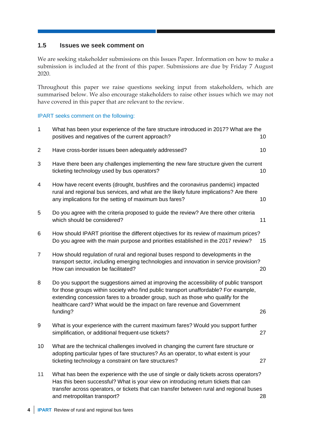## <span id="page-9-0"></span>**1.5 Issues we seek comment on**

We are seeking stakeholder submissions on this Issues Paper. Information on how to make a submission is included at the front of this paper. Submissions are due by Friday 7 August 2020.

Throughout this paper we raise questions seeking input from stakeholders, which are summarised below. We also encourage stakeholders to raise other issues which we may not have covered in this paper that are relevant to the review.

#### IPART seeks comment on the following:

| $\mathbf 1$    | What has been your experience of the fare structure introduced in 2017? What are the<br>positives and negatives of the current approach?                                                                                                                                                                                                                    | 10 |
|----------------|-------------------------------------------------------------------------------------------------------------------------------------------------------------------------------------------------------------------------------------------------------------------------------------------------------------------------------------------------------------|----|
| $\overline{2}$ | Have cross-border issues been adequately addressed?                                                                                                                                                                                                                                                                                                         | 10 |
| 3              | Have there been any challenges implementing the new fare structure given the current<br>ticketing technology used by bus operators?                                                                                                                                                                                                                         | 10 |
| 4              | How have recent events (drought, bushfires and the coronavirus pandemic) impacted<br>rural and regional bus services, and what are the likely future implications? Are there<br>any implications for the setting of maximum bus fares?                                                                                                                      | 10 |
| 5              | Do you agree with the criteria proposed to guide the review? Are there other criteria<br>which should be considered?                                                                                                                                                                                                                                        | 11 |
| 6              | How should IPART prioritise the different objectives for its review of maximum prices?<br>Do you agree with the main purpose and priorities established in the 2017 review?                                                                                                                                                                                 | 15 |
| $\overline{7}$ | How should regulation of rural and regional buses respond to developments in the<br>transport sector, including emerging technologies and innovation in service provision?<br>How can innovation be facilitated?                                                                                                                                            | 20 |
| 8              | Do you support the suggestions aimed at improving the accessibility of public transport<br>for those groups within society who find public transport unaffordable? For example,<br>extending concession fares to a broader group, such as those who qualify for the<br>healthcare card? What would be the impact on fare revenue and Government<br>funding? | 26 |
| 9              | What is your experience with the current maximum fares? Would you support further<br>simplification, or additional frequent-use tickets?                                                                                                                                                                                                                    | 27 |
| 10             | What are the technical challenges involved in changing the current fare structure or<br>adopting particular types of fare structures? As an operator, to what extent is your<br>ticketing technology a constraint on fare structures?                                                                                                                       | 27 |
| 11             | What has been the experience with the use of single or daily tickets across operators?<br>Has this been successful? What is your view on introducing return tickets that can<br>transfer across operators, or tickets that can transfer between rural and regional buses                                                                                    |    |

and metropolitan transport? 28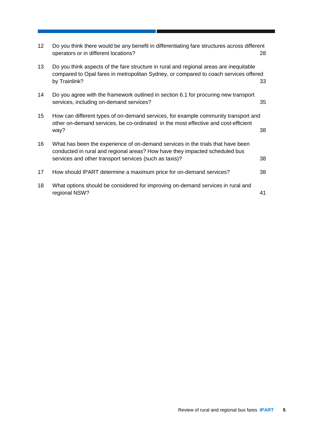| 12 <sup>°</sup> | Do you think there would be any benefit in differentiating fare structures across different<br>operators or in different locations?                                                                                      | 28 |
|-----------------|--------------------------------------------------------------------------------------------------------------------------------------------------------------------------------------------------------------------------|----|
| 13              | Do you think aspects of the fare structure in rural and regional areas are inequitable<br>compared to Opal fares in metropolitan Sydney, or compared to coach services offered<br>by Trainlink?                          | 33 |
| 14              | Do you agree with the framework outlined in section 6.1 for procuring new transport<br>services, including on-demand services?                                                                                           | 35 |
| 15              | How can different types of on-demand services, for example community transport and<br>other on-demand services, be co-ordinated in the most effective and cost-efficient<br>way?                                         | 38 |
| 16              | What has been the experience of on-demand services in the trials that have been<br>conducted in rural and regional areas? How have they impacted scheduled bus<br>services and other transport services (such as taxis)? | 38 |
| 17              | How should IPART determine a maximum price for on-demand services?                                                                                                                                                       | 38 |
| 18              | What options should be considered for improving on-demand services in rural and<br>regional NSW?                                                                                                                         | 41 |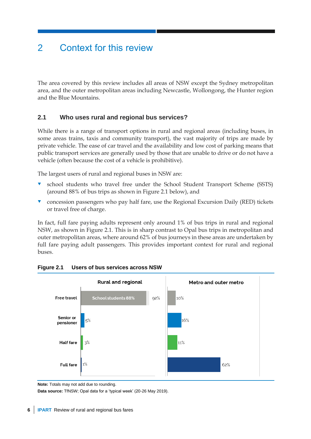# <span id="page-11-0"></span>2 Context for this review

The area covered by this review includes all areas of NSW except the Sydney metropolitan area, and the outer metropolitan areas including Newcastle, Wollongong, the Hunter region and the Blue Mountains.

# <span id="page-11-1"></span>**2.1 Who uses rural and regional bus services?**

While there is a range of transport options in rural and regional areas (including buses, in some areas trains, taxis and community transport), the vast majority of trips are made by private vehicle. The ease of car travel and the availability and low cost of parking means that public transport services are generally used by those that are unable to drive or do not have a vehicle (often because the cost of a vehicle is prohibitive).

The largest users of rural and regional buses in NSW are:

- school students who travel free under the School Student Transport Scheme (SSTS) (around 88% of bus trips as shown in Figure 2.1 below), and
- **v** concession passengers who pay half fare, use the Regional Excursion Daily (RED) tickets or travel free of charge.

In fact, full fare paying adults represent only around 1% of bus trips in rural and regional NSW, as shown in Figure 2.1. This is in sharp contrast to Opal bus trips in metropolitan and outer metropolitan areas, where around 62% of bus journeys in these areas are undertaken by full fare paying adult passengers. This provides important context for rural and regional buses.



### **Figure 2.1 Users of bus services across NSW**

**Data source:** TfNSW; Opal data for a 'typical week' (20-26 May 2019).

**Note:** Totals may not add due to rounding.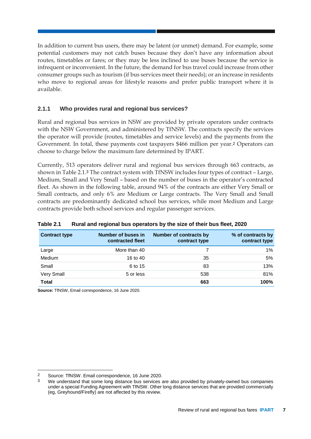In addition to current bus users, there may be latent (or unmet) demand. For example, some potential customers may not catch buses because they don't have any information about routes, timetables or fares; or they may be less inclined to use buses because the service is infrequent or inconvenient. In the future, the demand for bus travel could increase from other consumer groups such as tourism (if bus services meet their needs); or an increase in residents who move to regional areas for lifestyle reasons and prefer public transport where it is available.

## **2.1.1 Who provides rural and regional bus services?**

Rural and regional bus services in NSW are provided by private operators under contracts with the NSW Government, and administered by TfNSW. The contracts specify the services the operator will provide (routes, timetables and service levels) and the payments from the Government. In total, these payments cost taxpayers \$466 million per year.<sup>2</sup> Operators can choose to charge below the maximum fare determined by IPART.

Currently, 513 operators deliver rural and regional bus services through 663 contracts, as shown in Table 2.1.<sup>3</sup> The contract system with TfNSW includes four types of contract – Large, Medium, Small and Very Small – based on the number of buses in the operator's contracted fleet. As shown in the following table, around 94% of the contracts are either Very Small or Small contracts, and only 6% are Medium or Large contracts. The Very Small and Small contracts are predominantly dedicated school bus services, while most Medium and Large contracts provide both school services and regular passenger services.

| <b>Contract type</b> | Number of buses in<br>contracted fleet | Number of contracts by<br>contract type | % of contracts by<br>contract type |
|----------------------|----------------------------------------|-----------------------------------------|------------------------------------|
| Large                | More than 40                           |                                         | 1%                                 |
| Medium               | 16 to 40                               | 35                                      | 5%                                 |
| Small                | 6 to 15                                | 83                                      | 13%                                |
| Very Small           | 5 or less                              | 538                                     | 81%                                |
| <b>Total</b>         |                                        | 663                                     | 100%                               |

### **Table 2.1 Rural and regional bus operators by the size of their bus fleet, 2020**

**Source:** TfNSW, Email correspondence, 16 June 2020.

<sup>-</sup>2 Source: TfNSW. Email correspondence, 16 June 2020.

We understand that some long distance bus services are also provided by privately-owned bus companies under a special Funding Agreement with TfNSW. Other long distance services that are provided commercially (eg, Greyhound/Firefly) are not affected by this review.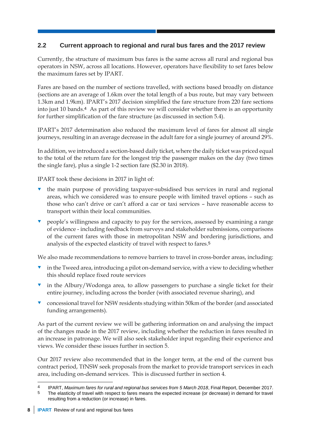# <span id="page-13-0"></span>**2.2 Current approach to regional and rural bus fares and the 2017 review**

Currently, the structure of maximum bus fares is the same across all rural and regional bus operators in NSW, across all locations. However, operators have flexibility to set fares below the maximum fares set by IPART.

Fares are based on the number of sections travelled, with sections based broadly on distance (sections are an average of 1.6km over the total length of a bus route, but may vary between 1.3km and 1.9km). IPART's 2017 decision simplified the fare structure from 220 fare sections into just 10 bands.<sup>4</sup> As part of this review we will consider whether there is an opportunity for further simplification of the fare structure (as discussed in section [5.4\)](#page-31-0).

IPART's 2017 determination also reduced the maximum level of fares for almost all single journeys, resulting in an average decrease in the adult fare for a single journey of around 29%.

In addition, we introduced a section-based daily ticket, where the daily ticket was priced equal to the total of the return fare for the longest trip the passenger makes on the day (two times the single fare), plus a single 1-2 section fare (\$2.30 in 2018).

IPART took these decisions in 2017 in light of:

- the main purpose of providing taxpayer-subsidised bus services in rural and regional areas, which we considered was to ensure people with limited travel options – such as those who can't drive or can't afford a car or taxi services – have reasonable access to transport within their local communities.
- people's willingness and capacity to pay for the services, assessed by examining a range of evidence - including feedback from surveys and stakeholder submissions, comparisons of the current fares with those in metropolitan NSW and bordering jurisdictions, and analysis of the expected elasticity of travel with respect to fares.<sup>5</sup>

We also made recommendations to remove barriers to travel in cross-border areas, including:

- in the Tweed area, introducing a pilot on-demand service, with a view to deciding whether this should replace fixed route services
- in the Albury/Wodonga area, to allow passengers to purchase a single ticket for their entire journey, including across the border (with associated revenue sharing), and
- concessional travel for NSW residents studying within 50km of the border (and associated funding arrangements).

As part of the current review we will be gathering information on and analysing the impact of the changes made in the 2017 review, including whether the reduction in fares resulted in an increase in patronage. We will also seek stakeholder input regarding their experience and views. We consider these issues further in section [5.](#page-26-0)

Our 2017 review also recommended that in the longer term, at the end of the current bus contract period, TfNSW seek proposals from the market to provide transport services in each area, including on-demand services. This is discussed further in section [4.](#page-21-0)

<sup>-</sup>4 IPART, *Maximum fares for rural and regional bus services from 5 March 2018*, Final Report, December 2017.

The elasticity of travel with respect to fares means the expected increase (or decrease) in demand for travel resulting from a reduction (or increase) in fares.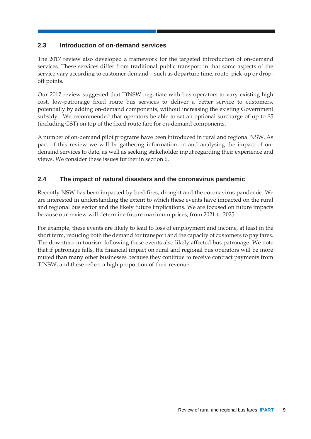# <span id="page-14-0"></span>**2.3 Introduction of on-demand services**

The 2017 review also developed a framework for the targeted introduction of on-demand services. These services differ from traditional public transport in that some aspects of the service vary according to customer demand – such as departure time, route, pick-up or dropoff points.

Our 2017 review suggested that TfNSW negotiate with bus operators to vary existing high cost, low-patronage fixed route bus services to deliver a better service to customers, potentially by adding on-demand components, without increasing the existing Government subsidy. We recommended that operators be able to set an optional surcharge of up to \$5 (including GST) on top of the fixed route fare for on-demand components.

A number of on-demand pilot programs have been introduced in rural and regional NSW. As part of this review we will be gathering information on and analysing the impact of ondemand services to date, as well as seeking stakeholder input regarding their experience and views. We consider these issues further in section [6.](#page-39-0)

# <span id="page-14-1"></span>**2.4 The impact of natural disasters and the coronavirus pandemic**

Recently NSW has been impacted by bushfires, drought and the coronavirus pandemic. We are interested in understanding the extent to which these events have impacted on the rural and regional bus sector and the likely future implications. We are focused on future impacts because our review will determine future maximum prices, from 2021 to 2025.

For example, these events are likely to lead to loss of employment and income, at least in the short term, reducing both the demand for transport and the capacity of customers to pay fares. The downturn in tourism following these events also likely affected bus patronage. We note that if patronage falls, the financial impact on rural and regional bus operators will be more muted than many other businesses because they continue to receive contract payments from TfNSW, and these reflect a high proportion of their revenue.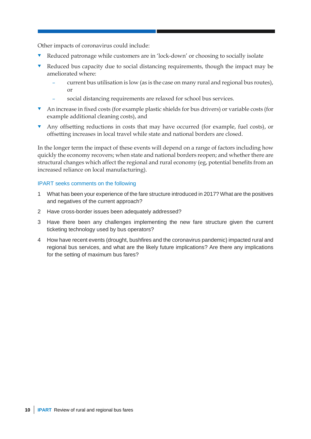Other impacts of coronavirus could include:

- Reduced patronage while customers are in 'lock-down' or choosing to socially isolate
- Reduced bus capacity due to social distancing requirements, though the impact may be ameliorated where:
	- current bus utilisation is low (as is the case on many rural and regional bus routes), or
	- social distancing requirements are relaxed for school bus services.
- An increase in fixed costs (for example plastic shields for bus drivers) or variable costs (for example additional cleaning costs), and
- Any offsetting reductions in costs that may have occurred (for example, fuel costs), or offsetting increases in local travel while state and national borders are closed.

In the longer term the impact of these events will depend on a range of factors including how quickly the economy recovers; when state and national borders reopen; and whether there are structural changes which affect the regional and rural economy (eg, potential benefits from an increased reliance on local manufacturing).

#### IPART seeks comments on the following

- 1 What has been your experience of the fare structure introduced in 2017? What are the positives and negatives of the current approach?
- 2 Have cross-border issues been adequately addressed?
- 3 Have there been any challenges implementing the new fare structure given the current ticketing technology used by bus operators?
- 4 How have recent events (drought, bushfires and the coronavirus pandemic) impacted rural and regional bus services, and what are the likely future implications? Are there any implications for the setting of maximum bus fares?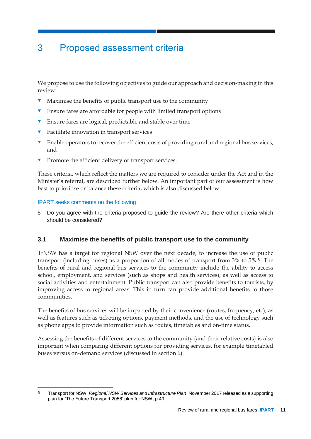# <span id="page-16-0"></span>3 Proposed assessment criteria

We propose to use the following objectives to guide our approach and decision-making in this review:

- $\blacksquare$  Maximise the benefits of public transport use to the community
- Ensure fares are affordable for people with limited transport options
- Ensure fares are logical, predictable and stable over time
- **T** Facilitate innovation in transport services
- **Enable operators to recover the efficient costs of providing rural and regional bus services,** and
- **Promote the efficient delivery of transport services.**

These criteria, which reflect the matters we are required to consider under the Act and in the Minister's referral, are described further below. An important part of our assessment is how best to prioritise or balance these criteria, which is also discussed below.

#### IPART seeks comments on the following

5 Do you agree with the criteria proposed to guide the review? Are there other criteria which should be considered?

## <span id="page-16-1"></span>**3.1 Maximise the benefits of public transport use to the community**

TfNSW has a target for regional NSW over the next decade, to increase the use of public transport (including buses) as a proportion of all modes of transport from 3% to 5%.6 The benefits of rural and regional bus services to the community include the ability to access school, employment, and services (such as shops and health services), as well as access to social activities and entertainment. Public transport can also provide benefits to tourists, by improving access to regional areas. This in turn can provide additional benefits to those communities.

The benefits of bus services will be impacted by their convenience (routes, frequency, etc), as well as features such as ticketing options, payment methods, and the use of technology such as phone apps to provide information such as routes, timetables and on-time status.

Assessing the benefits of different services to the community (and their relative costs) is also important when comparing different options for providing services, for example timetabled buses versus on-demand services (discussed in section [6\)](#page-39-0).

<sup>-</sup>6 Transport for NSW*, Regional NSW Services and Infrastructure Plan*, November 2017 released as a supporting plan for 'The Future Transport 2056' plan for NSW, p 49.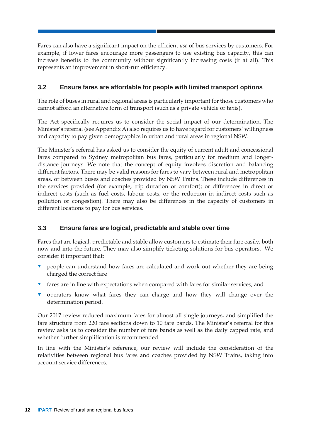Fares can also have a significant impact on the efficient *use* of bus services by customers. For example, if lower fares encourage more passengers to use existing bus capacity, this can increase benefits to the community without significantly increasing costs (if at all). This represents an improvement in short-run efficiency.

# <span id="page-17-0"></span>**3.2 Ensure fares are affordable for people with limited transport options**

The role of buses in rural and regional areas is particularly important for those customers who cannot afford an alternative form of transport (such as a private vehicle or taxis).

The Act specifically requires us to consider the social impact of our determination. The Minister's referral (see Appendix A) also requires us to have regard for customers' willingness and capacity to pay given demographics in urban and rural areas in regional NSW.

The Minister's referral has asked us to consider the equity of current adult and concessional fares compared to Sydney metropolitan bus fares, particularly for medium and longerdistance journeys. We note that the concept of equity involves discretion and balancing different factors. There may be valid reasons for fares to vary between rural and metropolitan areas, or between buses and coaches provided by NSW Trains. These include differences in the services provided (for example, trip duration or comfort); or differences in direct or indirect costs (such as fuel costs, labour costs, or the reduction in indirect costs such as pollution or congestion). There may also be differences in the capacity of customers in different locations to pay for bus services.

# <span id="page-17-1"></span>**3.3 Ensure fares are logical, predictable and stable over time**

Fares that are logical, predictable and stable allow customers to estimate their fare easily, both now and into the future. They may also simplify ticketing solutions for bus operators. We consider it important that:

- people can understand how fares are calculated and work out whether they are being charged the correct fare
- $\bullet$  fares are in line with expectations when compared with fares for similar services, and
- **v** operators know what fares they can charge and how they will change over the determination period.

Our 2017 review reduced maximum fares for almost all single journeys, and simplified the fare structure from 220 fare sections down to 10 fare bands. The Minister's referral for this review asks us to consider the number of fare bands as well as the daily capped rate, and whether further simplification is recommended.

In line with the Minister's reference, our review will include the consideration of the relativities between regional bus fares and coaches provided by NSW Trains, taking into account service differences.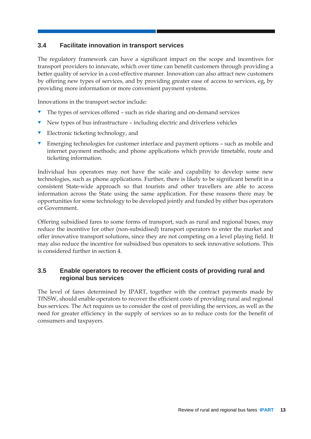# <span id="page-18-0"></span>**3.4 Facilitate innovation in transport services**

The regulatory framework can have a significant impact on the scope and incentives for transport providers to innovate, which over time can benefit customers through providing a better quality of service in a cost-effective manner. Innovation can also attract new customers by offering new types of services, and by providing greater ease of access to services, eg, by providing more information or more convenient payment systems.

Innovations in the transport sector include:

- The types of services offered such as ride sharing and on-demand services
- New types of bus infrastructure including electric and driverless vehicles
- Electronic ticketing technology, and
- **Emerging technologies for customer interface and payment options such as mobile and** internet payment methods; and phone applications which provide timetable, route and ticketing information.

Individual bus operators may not have the scale and capability to develop some new technologies, such as phone applications. Further, there is likely to be significant benefit in a consistent State-wide approach so that tourists and other travellers are able to access information across the State using the same application. For these reasons there may be opportunities for some technology to be developed jointly and funded by either bus operators or Government.

Offering subsidised fares to some forms of transport, such as rural and regional buses, may reduce the incentive for other (non-subsidised) transport operators to enter the market and offer innovative transport solutions, since they are not competing on a level playing field. It may also reduce the incentive for subsidised bus operators to seek innovative solutions. This is considered further in section [4.](#page-21-0)

# <span id="page-18-1"></span>**3.5 Enable operators to recover the efficient costs of providing rural and regional bus services**

The level of fares determined by IPART, together with the contract payments made by TfNSW, should enable operators to recover the efficient costs of providing rural and regional bus services. The Act requires us to consider the cost of providing the services, as well as the need for greater efficiency in the supply of services so as to reduce costs for the benefit of consumers and taxpayers.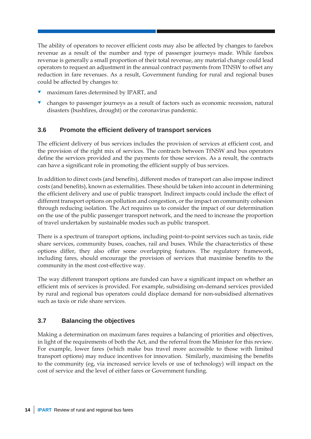The ability of operators to recover efficient costs may also be affected by changes to farebox revenue as a result of the number and type of passenger journeys made. While farebox revenue is generally a small proportion of their total revenue, any material change could lead operators to request an adjustment in the annual contract payments from TfNSW to offset any reduction in fare revenues. As a result, Government funding for rural and regional buses could be affected by changes to:

- maximum fares determined by IPART, and
- changes to passenger journeys as a result of factors such as economic recession, natural disasters (bushfires, drought) or the coronavirus pandemic.

# <span id="page-19-0"></span>**3.6 Promote the efficient delivery of transport services**

The efficient delivery of bus services includes the provision of services at efficient cost, and the provision of the right mix of services. The contracts between TfNSW and bus operators define the services provided and the payments for those services. As a result, the contracts can have a significant role in promoting the efficient supply of bus services.

In addition to direct costs (and benefits), different modes of transport can also impose indirect costs (and benefits), known as externalities. These should be taken into account in determining the efficient delivery and use of public transport. Indirect impacts could include the effect of different transport options on pollution and congestion, or the impact on community cohesion through reducing isolation. The Act requires us to consider the impact of our determination on the use of the public passenger transport network, and the need to increase the proportion of travel undertaken by sustainable modes such as public transport.

There is a spectrum of transport options, including point-to-point services such as taxis, ride share services, community buses, coaches, rail and buses. While the characteristics of these options differ, they also offer some overlapping features. The regulatory framework, including fares, should encourage the provision of services that maximise benefits to the community in the most cost-effective way.

The way different transport options are funded can have a significant impact on whether an efficient mix of services is provided. For example, subsidising on-demand services provided by rural and regional bus operators could displace demand for non-subsidised alternatives such as taxis or ride share services.

# <span id="page-19-1"></span>**3.7 Balancing the objectives**

Making a determination on maximum fares requires a balancing of priorities and objectives, in light of the requirements of both the Act, and the referral from the Minister for this review. For example, lower fares (which make bus travel more accessible to those with limited transport options) may reduce incentives for innovation. Similarly, maximising the benefits to the community (eg, via increased service levels or use of technology) will impact on the cost of service and the level of either fares or Government funding.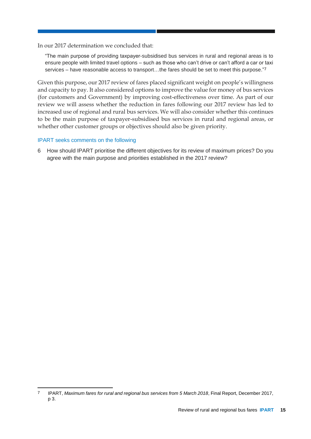In our 2017 determination we concluded that:

"The main purpose of providing taxpayer-subsidised bus services in rural and regional areas is to ensure people with limited travel options – such as those who can't drive or can't afford a car or taxi services – have reasonable access to transport…the fares should be set to meet this purpose."7

Given this purpose, our 2017 review of fares placed significant weight on people's willingness and capacity to pay. It also considered options to improve the value for money of bus services (for customers and Government) by improving cost-effectiveness over time. As part of our review we will assess whether the reduction in fares following our 2017 review has led to increased use of regional and rural bus services. We will also consider whether this continues to be the main purpose of taxpayer-subsidised bus services in rural and regional areas, or whether other customer groups or objectives should also be given priority.

#### IPART seeks comments on the following

-

6 How should IPART prioritise the different objectives for its review of maximum prices? Do you agree with the main purpose and priorities established in the 2017 review?

<sup>7</sup> IPART, *Maximum fares for rural and regional bus services from 5 March 2018*, Final Report, December 2017, p 3.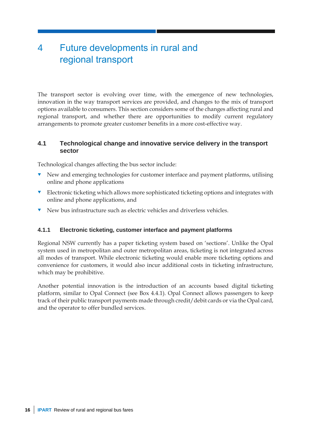# <span id="page-21-0"></span>4 Future developments in rural and regional transport

The transport sector is evolving over time, with the emergence of new technologies, innovation in the way transport services are provided, and changes to the mix of transport options available to consumers. This section considers some of the changes affecting rural and regional transport, and whether there are opportunities to modify current regulatory arrangements to promote greater customer benefits in a more cost-effective way.

## <span id="page-21-1"></span>**4.1 Technological change and innovative service delivery in the transport sector**

Technological changes affecting the bus sector include:

- New and emerging technologies for customer interface and payment platforms, utilising online and phone applications
- **Electronic ticketing which allows more sophisticated ticketing options and integrates with** online and phone applications, and
- New bus infrastructure such as electric vehicles and driverless vehicles.

## **4.1.1 Electronic ticketing, customer interface and payment platforms**

Regional NSW currently has a paper ticketing system based on 'sections'. Unlike the Opal system used in metropolitan and outer metropolitan areas, ticketing is not integrated across all modes of transport. While electronic ticketing would enable more ticketing options and convenience for customers, it would also incur additional costs in ticketing infrastructure, which may be prohibitive.

Another potential innovation is the introduction of an accounts based digital ticketing platform, similar to Opal Connect (see Box 4.4.1). Opal Connect allows passengers to keep track of their public transport payments made through credit/debit cards or via the Opal card, and the operator to offer bundled services.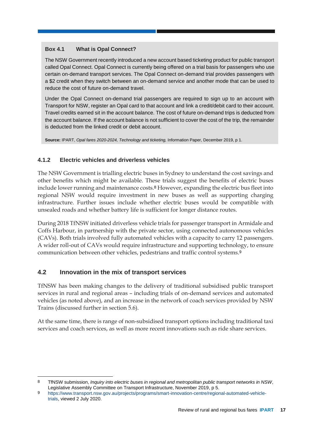### **Box 4.1 What is Opal Connect?**

The NSW Government recently introduced a new account based ticketing product for public transport called Opal Connect. Opal Connect is currently being offered on a trial basis for passengers who use certain on-demand transport services. The Opal Connect on-demand trial provides passengers with a \$2 credit when they switch between an on-demand service and another mode that can be used to reduce the cost of future on-demand travel.

Under the Opal Connect on-demand trial passengers are required to sign up to an account with Transport for NSW, register an Opal card to that account and link a credit/debit card to their account. Travel credits earned sit in the account balance. The cost of future on-demand trips is deducted from the account balance. If the account balance is not sufficient to cover the cost of the trip, the remainder is deducted from the linked credit or debit account.

**Source:** IPART, *Opal fares 2020-2024, Technology and ticketing,* Information Paper, December 2019, p 1.

# **4.1.2 Electric vehicles and driverless vehicles**

The NSW Government is trialling electric buses in Sydney to understand the cost savings and other benefits which might be available. These trials suggest the benefits of electric buses include lower running and maintenance costs.<sup>8</sup> However, expanding the electric bus fleet into regional NSW would require investment in new buses as well as supporting charging infrastructure. Further issues include whether electric buses would be compatible with unsealed roads and whether battery life is sufficient for longer distance routes.

During 2018 TfNSW initiated driverless vehicle trials for passenger transport in Armidale and Coffs Harbour, in partnership with the private sector, using connected autonomous vehicles (CAVs). Both trials involved fully automated vehicles with a capacity to carry 12 passengers. A wider roll-out of CAVs would require infrastructure and supporting technology, to ensure communication between other vehicles, pedestrians and traffic control systems.<sup>9</sup>

# <span id="page-22-0"></span>**4.2 Innovation in the mix of transport services**

TfNSW has been making changes to the delivery of traditional subsidised public transport services in rural and regional areas – including trials of on-demand services and automated vehicles (as noted above), and an increase in the network of coach services provided by NSW Trains (discussed further in section [5.6\)](#page-36-0).

At the same time, there is range of non-subsidised transport options including traditional taxi services and coach services, as well as more recent innovations such as ride share services.

<sup>-</sup>8 TfNSW submission, *Inquiry into electric buses in regional and metropolitan public transport networks in NSW*, Legislative Assembly Committee on Transport Infrastructure, November 2019, p 5.

<sup>9</sup> [https://www.transport.nsw.gov.au/projects/programs/smart-innovation-centre/regional-automated-vehicle](https://www.transport.nsw.gov.au/projects/programs/smart-innovation-centre/regional-automated-vehicle-trials)[trials,](https://www.transport.nsw.gov.au/projects/programs/smart-innovation-centre/regional-automated-vehicle-trials) viewed 2 July 2020.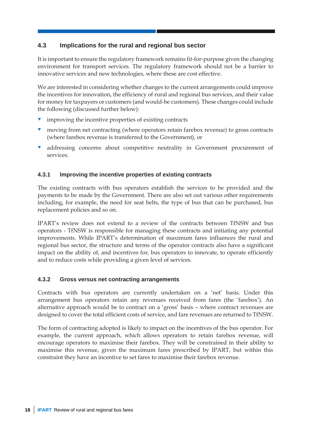# <span id="page-23-0"></span>**4.3 Implications for the rural and regional bus sector**

It is important to ensure the regulatory framework remains fit-for-purpose given the changing environment for transport services. The regulatory framework should not be a barrier to innovative services and new technologies, where these are cost effective.

We are interested in considering whether changes to the current arrangements could improve the incentives for innovation, the efficiency of rural and regional bus services, and their value for money for taxpayers or customers (and would-be customers). These changes could include the following (discussed further below):

- $\blacksquare$  improving the incentive properties of existing contracts
- **v** moving from net contracting (where operators retain farebox revenue) to gross contracts (where farebox revenue is transferred to the Government), or
- addressing concerns about competitive neutrality in Government procurement of services.

### **4.3.1 Improving the incentive properties of existing contracts**

The existing contracts with bus operators establish the services to be provided and the payments to be made by the Government. There are also set out various other requirements including, for example, the need for seat belts, the type of bus that can be purchased, bus replacement policies and so on.

IPART's review does not extend to a review of the contracts between TfNSW and bus operators - TfNSW is responsible for managing these contracts and initiating any potential improvements. While IPART's determination of maximum fares influences the rural and regional bus sector, the structure and terms of the operator contracts also have a significant impact on the ability of, and incentives for, bus operators to innovate, to operate efficiently and to reduce costs while providing a given level of services.

## **4.3.2 Gross versus net contracting arrangements**

Contracts with bus operators are currently undertaken on a 'net' basis. Under this arrangement bus operators retain any revenues received from fares (the 'farebox'). An alternative approach would be to contract on a 'gross' basis – where contract revenues are designed to cover the total efficient costs of service, and fare revenues are returned to TfNSW.

The form of contracting adopted is likely to impact on the incentives of the bus operator. For example, the current approach, which allows operators to retain farebox revenue, will encourage operators to maximise their farebox. They will be constrained in their ability to maximise this revenue, given the maximum fares prescribed by IPART, but within this constraint they have an incentive to set fares to maximise their farebox revenue.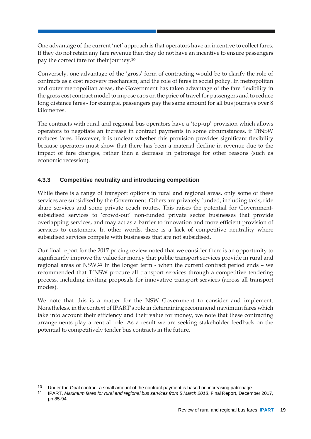One advantage of the current 'net' approach is that operators have an incentive to collect fares. If they do not retain any fare revenue then they do not have an incentive to ensure passengers pay the correct fare for their journey.<sup>10</sup>

Conversely, one advantage of the 'gross' form of contracting would be to clarify the role of contracts as a cost recovery mechanism, and the role of fares in social policy. In metropolitan and outer metropolitan areas, the Government has taken advantage of the fare flexibility in the gross cost contract model to impose caps on the price of travel for passengers and to reduce long distance fares - for example, passengers pay the same amount for all bus journeys over 8 kilometres.

The contracts with rural and regional bus operators have a 'top-up' provision which allows operators to negotiate an increase in contract payments in some circumstances, if TfNSW reduces fares. However, it is unclear whether this provision provides significant flexibility because operators must show that there has been a material decline in revenue due to the impact of fare changes, rather than a decrease in patronage for other reasons (such as economic recession).

# <span id="page-24-0"></span>**4.3.3 Competitive neutrality and introducing competition**

While there is a range of transport options in rural and regional areas, only some of these services are subsidised by the Government. Others are privately funded, including taxis, ride share services and some private coach routes. This raises the potential for Governmentsubsidised services to 'crowd-out' non-funded private sector businesses that provide overlapping services, and may act as a barrier to innovation and more efficient provision of services to customers. In other words, there is a lack of competitive neutrality where subsidised services compete with businesses that are not subsidised.

Our final report for the 2017 pricing review noted that we consider there is an opportunity to significantly improve the value for money that public transport services provide in rural and regional areas of NSW.<sup>11</sup> In the longer term - when the current contract period ends – we recommended that TfNSW procure all transport services through a competitive tendering process, including inviting proposals for innovative transport services (across all transport modes).

We note that this is a matter for the NSW Government to consider and implement. Nonetheless, in the context of IPART's role in determining recommend maximum fares which take into account their efficiency and their value for money, we note that these contracting arrangements play a central role. As a result we are seeking stakeholder feedback on the potential to competitively tender bus contracts in the future.

<sup>10</sup> Under the Opal contract a small amount of the contract payment is based on increasing patronage.

<sup>11</sup> IPART, *Maximum fares for rural and regional bus services from 5 March 2018*, Final Report, December 2017, pp 85-94.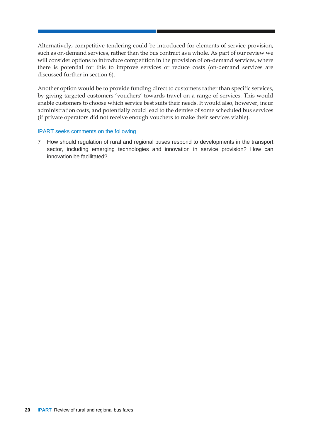Alternatively, competitive tendering could be introduced for elements of service provision, such as on-demand services, rather than the bus contract as a whole. As part of our review we will consider options to introduce competition in the provision of on-demand services, where there is potential for this to improve services or reduce costs (on-demand services are discussed further in section [6\)](#page-39-0).

Another option would be to provide funding direct to customers rather than specific services, by giving targeted customers 'vouchers' towards travel on a range of services. This would enable customers to choose which service best suits their needs. It would also, however, incur administration costs, and potentially could lead to the demise of some scheduled bus services (if private operators did not receive enough vouchers to make their services viable).

#### IPART seeks comments on the following

7 How should regulation of rural and regional buses respond to developments in the transport sector, including emerging technologies and innovation in service provision? How can innovation be facilitated?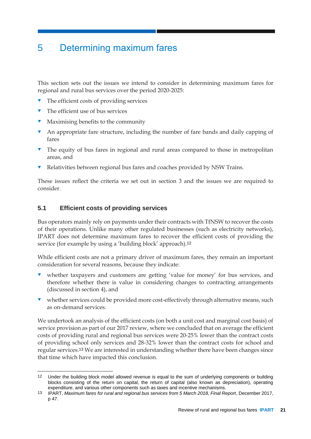# <span id="page-26-0"></span>5 Determining maximum fares

This section sets out the issues we intend to consider in determining maximum fares for regional and rural bus services over the period 2020-2025:

- $\blacksquare$  The efficient costs of providing services
- The efficient use of bus services

-

- $\blacksquare$  Maximising benefits to the community
- An appropriate fare structure, including the number of fare bands and daily capping of fares
- The equity of bus fares in regional and rural areas compared to those in metropolitan areas, and
- Relativities between regional bus fares and coaches provided by NSW Trains.

These issues reflect the criteria we set out in section [3](#page-16-0) and the issues we are required to consider.

## <span id="page-26-1"></span>**5.1 Efficient costs of providing services**

Bus operators mainly rely on payments under their contracts with TfNSW to recover the costs of their operations. Unlike many other regulated businesses (such as electricity networks), IPART does not determine maximum fares to recover the efficient costs of providing the service (for example by using a 'building block' approach).<sup>12</sup>

While efficient costs are not a primary driver of maximum fares, they remain an important consideration for several reasons, because they indicate:

- whether taxpayers and customers are getting 'value for money' for bus services, and therefore whether there is value in considering changes to contracting arrangements (discussed in section [4\)](#page-21-0), and
- whether services could be provided more cost-effectively through alternative means, such as on-demand services.

We undertook an analysis of the efficient costs (on both a unit cost and marginal cost basis) of service provision as part of our 2017 review, where we concluded that on average the efficient costs of providing rural and regional bus services were 20-25% lower than the contract costs of providing school only services and 28-32% lower than the contract costs for school and regular services.<sup>13</sup> We are interested in understanding whether there have been changes since that time which have impacted this conclusion.

<sup>12</sup> Under the building block model allowed revenue is equal to the sum of underlying components or building blocks consisting of the return on capital, the return of capital (also known as depreciation), operating expenditure, and various other components such as taxes and incentive mechanisms.

<sup>13</sup> IPART, *Maximum fares for rural and regional bus services from 5 March 2018, Final Report*, December 2017, p 47.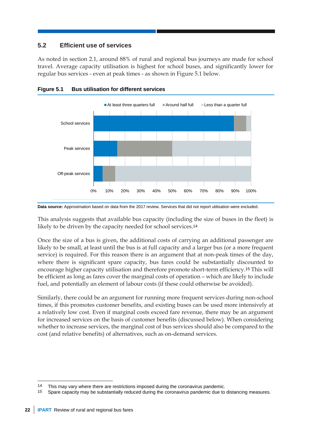# <span id="page-27-0"></span>**5.2 Efficient use of services**

As noted in section [2.1,](#page-11-1) around 88% of rural and regional bus journeys are made for school travel. Average capacity utilisation is highest for school buses, and significantly lower for regular bus services - even at peak times - as shown in Figure 5.1 below.





**Data source:** Approximation based on data from the 2017 review. Services that did not report utilisation were excluded.

This analysis suggests that available bus capacity (including the size of buses in the fleet) is likely to be driven by the capacity needed for school services.<sup>14</sup>

Once the size of a bus is given, the additional costs of carrying an additional passenger are likely to be small, at least until the bus is at full capacity and a larger bus (or a more frequent service) is required. For this reason there is an argument that at non-peak times of the day, where there is significant spare capacity, bus fares could be substantially discounted to encourage higher capacity utilisation and therefore promote short-term efficiency.<sup>15</sup> This will be efficient as long as fares cover the marginal costs of operation – which are likely to include fuel, and potentially an element of labour costs (if these could otherwise be avoided).

Similarly, there could be an argument for running more frequent services during non-school times, if this promotes customer benefits, and existing buses can be used more intensively at a relatively low cost. Even if marginal costs exceed fare revenue, there may be an argument for increased services on the basis of customer benefits (discussed below). When considering whether to increase services, the marginal cost of bus services should also be compared to the cost (and relative benefits) of alternatives, such as on-demand services.

<sup>14</sup> This may vary where there are restrictions imposed during the coronavirus pandemic.

<sup>15</sup> Spare capacity may be substantially reduced during the coronavirus pandemic due to distancing measures.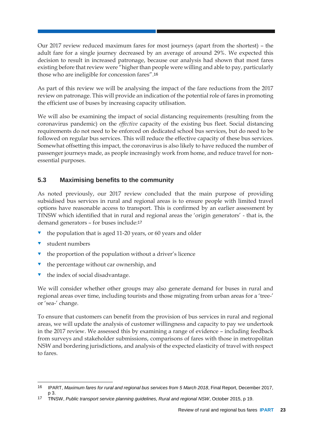Our 2017 review reduced maximum fares for most journeys (apart from the shortest) – the adult fare for a single journey decreased by an average of around 29%. We expected this decision to result in increased patronage, because our analysis had shown that most fares existing before that review were "higher than people were willing and able to pay, particularly those who are ineligible for concession fares".<sup>16</sup>

As part of this review we will be analysing the impact of the fare reductions from the 2017 review on patronage. This will provide an indication of the potential role of fares in promoting the efficient use of buses by increasing capacity utilisation.

We will also be examining the impact of social distancing requirements (resulting from the coronavirus pandemic) on the *effective* capacity of the existing bus fleet. Social distancing requirements do not need to be enforced on dedicated school bus services, but do need to be followed on regular bus services. This will reduce the effective capacity of these bus services. Somewhat offsetting this impact, the coronavirus is also likely to have reduced the number of passenger journeys made, as people increasingly work from home, and reduce travel for nonessential purposes.

# <span id="page-28-0"></span>**5.3 Maximising benefits to the community**

As noted previously, our 2017 review concluded that the main purpose of providing subsidised bus services in rural and regional areas is to ensure people with limited travel options have reasonable access to transport. This is confirmed by an earlier assessment by TfNSW which identified that in rural and regional areas the 'origin generators' - that is, the demand generators – for buses include:<sup>17</sup>

- the population that is aged 11-20 years, or 60 years and older
- student numbers

-

- the proportion of the population without a driver's licence
- the percentage without car ownership, and
- the index of social disadvantage.

We will consider whether other groups may also generate demand for buses in rural and regional areas over time, including tourists and those migrating from urban areas for a 'tree-' or 'sea-' change.

To ensure that customers can benefit from the provision of bus services in rural and regional areas, we will update the analysis of customer willingness and capacity to pay we undertook in the 2017 review. We assessed this by examining a range of evidence – including feedback from surveys and stakeholder submissions, comparisons of fares with those in metropolitan NSW and bordering jurisdictions, and analysis of the expected elasticity of travel with respect to fares.

<sup>16</sup> IPART, *Maximum fares for rural and regional bus services from 5 March 2018*, Final Report, December 2017, p 3.

<sup>17</sup> TfNSW, *Public transport service planning guidelines, Rural and regional NSW*, October 2015, p 19.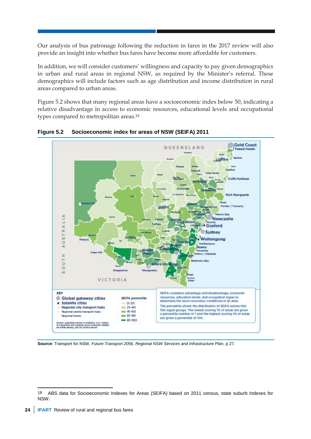Our analysis of bus patronage following the reduction in fares in the 2017 review will also provide an insight into whether bus fares have become more affordable for customers.

In addition, we will consider customers' willingness and capacity to pay given demographics in urban and rural areas in regional NSW, as required by the Minister's referral. These demographics will include factors such as age distribution and income distribution in rural areas compared to urban areas.

Figure 5.2 shows that many regional areas have a socioeconomic index below 50, indicating a relative disadvantage in access to economic resources, educational levels and occupational types compared to metropolitan areas.<sup>18</sup>



**Figure 5.2 Socioeconomic index for areas of NSW (SEIFA) 2011**

**Source:** Transport for NSW, *Future Transport 2056, Regional NSW Services and Infrastructure Plan*, p 27.

<sup>18</sup> ABS data for Socioeconomic Indexes for Areas (SEIFA) based on 2011 census, state suburb Indexes for NSW.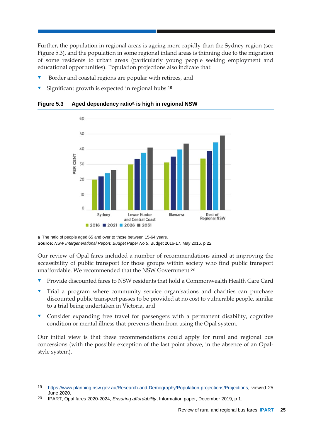Further, the population in regional areas is ageing more rapidly than the Sydney region (see Figure 5.3), and the population in some regional inland areas is thinning due to the migration of some residents to urban areas (particularly young people seeking employment and educational opportunities). Population projections also indicate that:

- Border and coastal regions are popular with retirees, and
- Significant growth is expected in regional hubs.<sup>19</sup>

60 50 40 PER CENT 30 20 10  $\circ$ Sydney **Lower Hunter** Illawarra Rest of<br>Regional NSW and Central Coast ■ 2016 ■ 2021 ■ 2026 ■ 2031

**Figure 5.3 Aged dependency ratioa is high in regional NSW**

**a** The ratio of people aged 65 and over to those between 15-64 years. **Source:** *NSW Intergenerational Report, Budget Paper No 5*, Budget 2016-17, May 2016, p 22.

Our review of Opal fares included a number of recommendations aimed at improving the accessibility of public transport for those groups within society who find public transport unaffordable. We recommended that the NSW Government:<sup>20</sup>

- Provide discounted fares to NSW residents that hold a Commonwealth Health Care Card
- Trial a program where community service organisations and charities can purchase discounted public transport passes to be provided at no cost to vulnerable people, similar to a trial being undertaken in Victoria, and
- Consider expanding free travel for passengers with a permanent disability, cognitive condition or mental illness that prevents them from using the Opal system.

Our initial view is that these recommendations could apply for rural and regional bus concessions (with the possible exception of the last point above, in the absence of an Opalstyle system).

<sup>19</sup> [https://www.planning.nsw.gov.au/Research-and-Demography/Population-projections/Projections,](https://www.planning.nsw.gov.au/Research-and-Demography/Population-projections/Projections) viewed 25 June 2020.

<sup>20</sup> IPART, Opal fares 2020-2024, *Ensuring affordability*, Information paper, December 2019, p 1.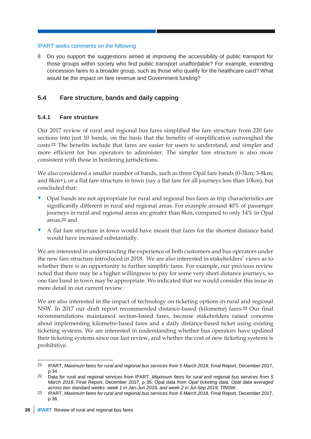8 Do you support the suggestions aimed at improving the accessibility of public transport for those groups within society who find public transport unaffordable? For example, extending concession fares to a broader group, such as those who qualify for the healthcare card? What would be the impact on fare revenue and Government funding?

# <span id="page-31-0"></span>**5.4 Fare structure, bands and daily capping**

### **5.4.1 Fare structure**

Our 2017 review of rural and regional bus fares simplified the fare structure from 220 fare sections into just 10 bands, on the basis that the benefits of simplification outweighed the costs.<sup>21</sup> The benefits include that fares are easier for users to understand, and simpler and more efficient for bus operators to administer. The simpler fare structure is also more consistent with those in bordering jurisdictions.

We also considered a smaller number of bands, such as three Opal fare bands (0-3km; 3-8km; and 8km+), or a flat fare structure in town (say a flat fare for all journeys less than 10km), but concluded that:

- Opal bands are not appropriate for rural and regional bus fares as trip characteristics are significantly different in rural and regional areas. For example around 40% of passenger journeys in rural and regional areas are greater than 8km, compared to only 14% in Opal areas,<sup>22</sup> and
- A flat fare structure in town would have meant that fares for the shortest distance band would have increased substantially.

We are interested in understanding the experience of both customers and bus operators under the new fare structure introduced in 2018. We are also interested in stakeholders' views as to whether there is an opportunity to further simplify fares. For example, our previous review noted that there may be a higher willingness to pay for some very short distance journeys, so one fare band in town may be appropriate. We indicated that we would consider this issue in more detail in our current review.

We are also interested in the impact of technology on ticketing options in rural and regional NSW. In 2017 our draft report recommended distance-based (kilometre) fares.<sup>23</sup> Our final recommendations maintained section-based fares, because stakeholders raised concerns about implementing kilometre-based fares and a daily distance-based ticket using existing ticketing systems. We are interested in understanding whether bus operators have updated their ticketing systems since our last review, and whether the cost of new ticketing systems is prohibitive.

<sup>21</sup> IPART, *Maximum fares for rural and regional bus services from 5 March 2018*, Final Report, December 2017, p 34.

<sup>22</sup> Data for rural and regional services from IPART, *Maximum fares for rural and regional bus services from 5 March 2018*, Final Report, December 2017, p 35; Opal data from *Opal ticketing data, Opal data averaged across two standard weeks: week 1 in Jan-Jun 2019, and week 2 in Jul-Sep 2019, TfNSW.*

<sup>23</sup> IPART, *Maximum fares for rural and regional bus services from 5 March 2018*, Final Report, December 2017, p 36.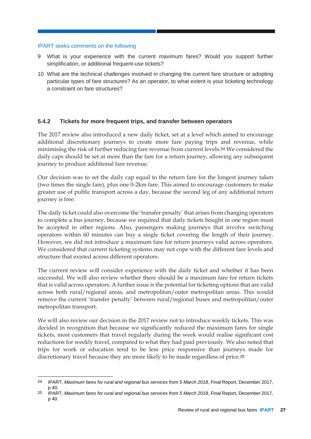-

- 9 What is your experience with the current maximum fares? Would you support further simplification, or additional frequent-use tickets?
- 10 What are the technical challenges involved in changing the current fare structure or adopting particular types of fare structures? As an operator, to what extent is your ticketing technology a constraint on fare structures?

### **5.4.2 Tickets for more frequent trips, and transfer between operators**

The 2017 review also introduced a new daily ticket, set at a level which aimed to encourage additional discretionary journeys to create more fare paying trips and revenue, while minimising the risk of further reducing fare revenue from current levels.<sup>24</sup> We considered the daily caps should be set at more than the fare for a return journey, allowing any subsequent journey to produce additional fare revenue.

Our decision was to set the daily cap equal to the return fare for the longest journey taken (two times the single fare), plus one 0-2km fare. This aimed to encourage customers to make greater use of public transport across a day, because the second leg of any additional return journey is free.

The daily ticket could also overcome the 'transfer penalty' that arises from changing operators to complete a bus journey, because we required that daily tickets bought in one region must be accepted in other regions. Also, passengers making journeys that involve switching operators within 60 minutes can buy a single ticket covering the length of their journey. However, we did not introduce a maximum fare for return journeys valid across operators. We considered that current ticketing systems may not cope with the different fare levels and structure that existed across different operators.

The current review will consider experience with the daily ticket and whether it has been successful. We will also review whether there should be a maximum fare for return tickets that is valid across operators. A further issue is the potential for ticketing options that are valid across both rural/regional areas, and metropolitan/outer metropolitan areas. This would remove the current 'transfer penalty' between rural/regional buses and metropolitan/outer metropolitan transport.

We will also review our decision in the 2017 review not to introduce weekly tickets. This was decided in recognition that because we significantly reduced the maximum fares for single tickets, most customers that travel regularly during the week would realise significant cost reductions for weekly travel, compared to what they had paid previously. We also noted that trips for work or education tend to be less price responsive than journeys made for discretionary travel because they are more likely to be made regardless of price.<sup>25</sup>

<sup>24</sup> IPART, *Maximum fares for rural and regional bus services from 5 March 2018*, Final Report, December 2017, p 40.

<sup>25</sup> IPART, *Maximum fares for rural and regional bus services from 5 March 2018*, Final Report, December 2017, p 40.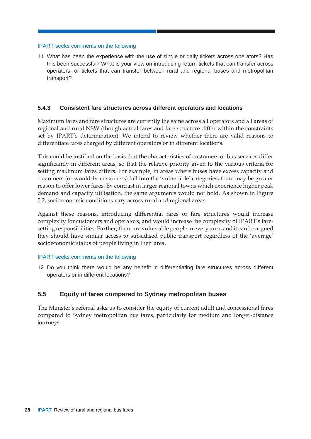11 What has been the experience with the use of single or daily tickets across operators? Has this been successful? What is your view on introducing return tickets that can transfer across operators, or tickets that can transfer between rural and regional buses and metropolitan transport?

#### **5.4.3 Consistent fare structures across different operators and locations**

Maximum fares and fare structures are currently the same across all operators and all areas of regional and rural NSW (though actual fares and fare structure differ within the constraints set by IPART's determination). We intend to review whether there are valid reasons to differentiate fares charged by different operators or in different locations.

This could be justified on the basis that the characteristics of customers or bus services differ significantly in different areas, so that the relative priority given to the various criteria for setting maximum fares differs. For example, in areas where buses have excess capacity and customers (or would-be customers) fall into the 'vulnerable' categories, there may be greater reason to offer lower fares. By contrast in larger regional towns which experience higher peak demand and capacity utilisation, the same arguments would not hold. As shown in Figure 5.2, socioeconomic conditions vary across rural and regional areas.

Against these reasons, introducing differential fares or fare structures would increase complexity for customers and operators, and would increase the complexity of IPART's faresetting responsibilities. Further, there are vulnerable people in every area, and it can be argued they should have similar access to subsidised public transport regardless of the 'average' socioeconomic status of people living in their area.

#### IPART seeks comments on the following

12 Do you think there would be any benefit in differentiating fare structures across different operators or in different locations?

### <span id="page-33-0"></span>**5.5 Equity of fares compared to Sydney metropolitan buses**

The Minister's referral asks us to consider the equity of current adult and concessional fares compared to Sydney metropolitan bus fares, particularly for medium and longer-distance journeys.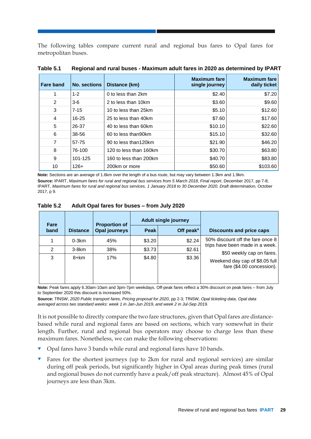The following tables compare current rural and regional bus fares to Opal fares for metropolitan buses.

| <b>Fare band</b> | <b>No. sections</b> | Distance (km)          | <b>Maximum fare</b><br>single journey | <b>Maximum fare</b><br>daily ticket |
|------------------|---------------------|------------------------|---------------------------------------|-------------------------------------|
|                  | $1 - 2$             | 0 to less than 2km     | \$2.40                                | \$7.20                              |
| 2                | $3-6$               | 2 to less than 10km    | \$3.60                                | \$9.60                              |
| 3                | $7 - 15$            | 10 to less than 25km   | \$5.10                                | \$12.60                             |
| 4                | $16 - 25$           | 25 to less than 40km   | \$7.60                                | \$17.60                             |
| 5                | 26-37               | 40 to less than 60km   | \$10.10                               | \$22.60                             |
| 6                | 38-56               | 60 to less than 90 km  | \$15.10                               | \$32.60                             |
| 7                | 57-75               | 90 to less than 120km  | \$21.90                               | \$46.20                             |
| 8                | 76-100              | 120 to less than 160km | \$30.70                               | \$63.80                             |
| 9                | 101-125             | 160 to less than 200km | \$40.70                               | \$83.80                             |
| 10               | $126+$              | 200km or more          | \$50.60                               | \$103.60                            |

**Table 5.1 Regional and rural buses - Maximum adult fares in 2020 as determined by IPART**

**Note:** Sections are an average of 1.6km over the length of a bus route, but may vary between 1.3km and 1.9km. **Source:** IPART, *Maximum fares for rural and regional bus services from 5 March 2018, Final report*, December 2017, pp 7-8; IPART, *Maximum fares for rural and regional bus services, 1 January 2018 to 30 December 2020, Draft determination,* October 2017, p 9.

| apie 5.2 | Adult Opal fares for buses – from July 2020 |                      |      |                             |                |  |
|----------|---------------------------------------------|----------------------|------|-----------------------------|----------------|--|
| Fare     |                                             | <b>Proportion of</b> |      | <b>Adult single journey</b> |                |  |
| band     | <b>Distance</b>                             | Opal journeys        | Peak | Off $peaka$                 | <b>Discour</b> |  |

**Table 5.2 Adult Opal fares for buses – from July 2020**

| rare.<br>band | <b>Distance</b> | <b>PIODOILIOII OI</b><br>Opal journeys | Peak   | Off peak $a$ | <b>Discounts and price caps</b>                                     |
|---------------|-----------------|----------------------------------------|--------|--------------|---------------------------------------------------------------------|
|               | $0-3km$         | 45%                                    | \$3.20 | \$2.24       | 50% discount off the fare once 8<br>trips have been made in a week. |
| 2             | $3-8km$         | 38%                                    | \$3.73 | \$2.61       | \$50 weekly cap on fares.                                           |
| 3             | 8+km            | 17%                                    | \$4.80 | \$3.36       | Weekend day cap of \$8.05 full<br>fare (\$4.00 concession).         |

**Note:** Peak fares apply 6.30am-10am and 3pm-7pm weekdays. Off-peak fares reflect a 30% discount on peak fares – from July to September 2020 this discount is increased 50%.

**Source:** TfNSW, *2020 Public transport fares, Pricing proposal for 2020,* pp 2-3*;* TfNSW*, Opal ticketing data, Opal data averaged across two standard weeks: week 1 in Jan-Jun 2019, and week 2 in Jul-Sep 2019.*

It is not possible to directly compare the two fare structures, given that Opal fares are distancebased while rural and regional fares are based on sections, which vary somewhat in their length. Further, rural and regional bus operators may choose to charge less than these maximum fares. Nonetheless, we can make the following observations:

- Opal fares have 3 bands while rural and regional fares have 10 bands.
- Fares for the shortest journeys (up to 2km for rural and regional services) are similar during off peak periods, but significantly higher in Opal areas during peak times (rural and regional buses do not currently have a peak/off peak structure). Almost 45% of Opal journeys are less than 3km.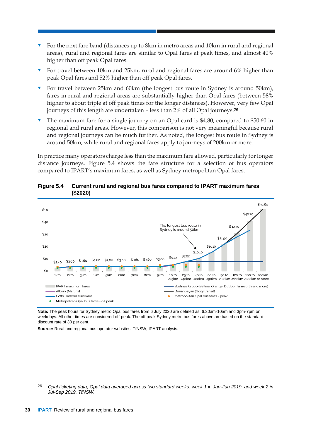- For the next fare band (distances up to 8km in metro areas and 10km in rural and regional areas), rural and regional fares are similar to Opal fares at peak times, and almost 40% higher than off peak Opal fares.
- For travel between 10km and 25km, rural and regional fares are around 6% higher than peak Opal fares and 52% higher than off peak Opal fares.
- For travel between 25km and 60km (the longest bus route in Sydney is around 50km), fares in rural and regional areas are substantially higher than Opal fares (between 58% higher to about triple at off peak times for the longer distances). However, very few Opal journeys of this length are undertaken – less than 2% of all Opal journeys.<sup>26</sup>
- The maximum fare for a single journey on an Opal card is \$4.80, compared to \$50.60 in regional and rural areas. However, this comparison is not very meaningful because rural and regional journeys can be much further. As noted, the longest bus route in Sydney is around 50km, while rural and regional fares apply to journeys of 200km or more.

In practice many operators charge less than the maximum fare allowed, particularly for longer distance journeys. Figure 5.4 shows the fare structure for a selection of bus operators compared to IPART's maximum fares, as well as Sydney metropolitan Opal fares.



#### **Figure 5.4 Current rural and regional bus fares compared to IPART maximum fares (\$2020)**

**Note:** The peak hours for Sydney metro Opal bus fares from 6 July 2020 are defined as: 6.30am-10am and 3pm-7pm on weekdays. All other times are considered off-peak. The off peak Sydney metro bus fares above are based on the standard discount rate of 30 per cent.

**Source:** Rural and regional bus operator websites, TfNSW, IPART analysis.

<sup>26</sup> *Opal ticketing data, Opal data averaged across two standard weeks: week 1 in Jan-Jun 2019, and week 2 in Jul-Sep 2019, TfNSW.*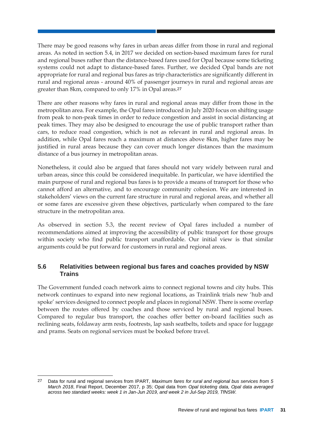There may be good reasons why fares in urban areas differ from those in rural and regional areas. As noted in section [5.4,](#page-31-0) in 2017 we decided on section-based maximum fares for rural and regional buses rather than the distance-based fares used for Opal because some ticketing systems could not adapt to distance-based fares. Further, we decided Opal bands are not appropriate for rural and regional bus fares as trip characteristics are significantly different in rural and regional areas - around 40% of passenger journeys in rural and regional areas are greater than 8km, compared to only 17% in Opal areas.<sup>27</sup>

There are other reasons why fares in rural and regional areas may differ from those in the metropolitan area. For example, the Opal fares introduced in July 2020 focus on shifting usage from peak to non-peak times in order to reduce congestion and assist in social distancing at peak times. They may also be designed to encourage the use of public transport rather than cars, to reduce road congestion, which is not as relevant in rural and regional areas. In addition, while Opal fares reach a maximum at distances above 8km, higher fares may be justified in rural areas because they can cover much longer distances than the maximum distance of a bus journey in metropolitan areas.

Nonetheless, it could also be argued that fares should not vary widely between rural and urban areas, since this could be considered inequitable. In particular, we have identified the main purpose of rural and regional bus fares is to provide a means of transport for those who cannot afford an alternative, and to encourage community cohesion. We are interested in stakeholders' views on the current fare structure in rural and regional areas, and whether all or some fares are excessive given these objectives, particularly when compared to the fare structure in the metropolitan area.

As observed in section [5.3,](#page-28-0) the recent review of Opal fares included a number of recommendations aimed at improving the accessibility of public transport for those groups within society who find public transport unaffordable. Our initial view is that similar arguments could be put forward for customers in rural and regional areas.

# <span id="page-36-0"></span>**5.6 Relativities between regional bus fares and coaches provided by NSW Trains**

The Government funded coach network aims to connect regional towns and city hubs. This network continues to expand into new regional locations, as Trainlink trials new 'hub and spoke' services designed to connect people and places in regional NSW. There is some overlap between the routes offered by coaches and those serviced by rural and regional buses. Compared to regular bus transport, the coaches offer better on-board facilities such as reclining seats, foldaway arm rests, footrests, lap sash seatbelts, toilets and space for luggage and prams. Seats on regional services must be booked before travel.

<sup>27</sup> Data for rural and regional services from IPART, *Maximum fares for rural and regional bus services from 5 March 2018*, Final Report, December 2017, p 35; Opal data from *Opal ticketing data, Opal data averaged across two standard weeks: week 1 in Jan-Jun 2019, and week 2 in Jul-Sep 2019, TfNSW.*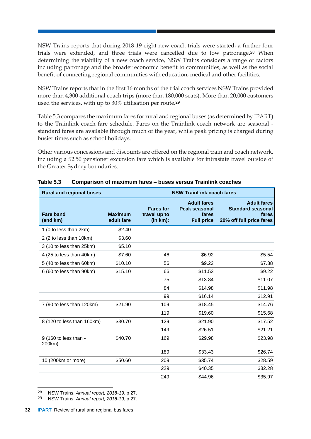NSW Trains reports that during 2018-19 eight new coach trials were started; a further four trials were extended, and three trials were cancelled due to low patronage.<sup>28</sup> When determining the viability of a new coach service, NSW Trains considers a range of factors including patronage and the broader economic benefit to communities, as well as the social benefit of connecting regional communities with education, medical and other facilities.

NSW Trains reports that in the first 16 months of the trial coach services NSW Trains provided more than 4,300 additional coach trips (more than 180,000 seats). More than 20,000 customers used the services, with up to 30% utilisation per route.<sup>29</sup>

Table 5.3 compares the maximum fares for rural and regional buses (as determined by IPART) to the Trainlink coach fare schedule. Fares on the Trainlink coach network are seasonal standard fares are available through much of the year, while peak pricing is charged during busier times such as school holidays.

Other various concessions and discounts are offered on the regional train and coach network, including a \$2.50 pensioner excursion fare which is available for intrastate travel outside of the Greater Sydney boundaries.

| <b>Rural and regional buses</b><br><b>NSW TrainLink coach fares</b> |                              |                                              |                                                                          |                                                                                     |
|---------------------------------------------------------------------|------------------------------|----------------------------------------------|--------------------------------------------------------------------------|-------------------------------------------------------------------------------------|
| <b>Fare band</b><br>(and km)                                        | <b>Maximum</b><br>adult fare | <b>Fares for</b><br>travel up to<br>(in km): | <b>Adult fares</b><br><b>Peak seasonal</b><br>fares<br><b>Full price</b> | <b>Adult fares</b><br><b>Standard seasonal</b><br>fares<br>20% off full price fares |
| 1 (0 to less than 2km)                                              | \$2.40                       |                                              |                                                                          |                                                                                     |
| 2 (2 to less than 10km)                                             | \$3.60                       |                                              |                                                                          |                                                                                     |
| 3 (10 to less than 25km)                                            | \$5.10                       |                                              |                                                                          |                                                                                     |
| 4 (25 to less than 40km)                                            | \$7.60                       | 46                                           | \$6.92                                                                   | \$5.54                                                                              |
| 5 (40 to less than 60km)                                            | \$10.10                      | 56                                           | \$9.22                                                                   | \$7.38                                                                              |
| 6 (60 to less than 90km)                                            | \$15.10                      | 66                                           | \$11.53                                                                  | \$9.22                                                                              |
|                                                                     |                              | 75                                           | \$13.84                                                                  | \$11.07                                                                             |
|                                                                     |                              | 84                                           | \$14.98                                                                  | \$11.98                                                                             |
|                                                                     |                              | 99                                           | \$16.14                                                                  | \$12.91                                                                             |
| 7 (90 to less than 120km)                                           | \$21.90                      | 109                                          | \$18.45                                                                  | \$14.76                                                                             |
|                                                                     |                              | 119                                          | \$19.60                                                                  | \$15.68                                                                             |
| 8 (120 to less than 160km)                                          | \$30.70                      | 129                                          | \$21.90                                                                  | \$17.52                                                                             |
|                                                                     |                              | 149                                          | \$26.51                                                                  | \$21.21                                                                             |
| 9 (160 to less than -<br>200km)                                     | \$40.70                      | 169                                          | \$29.98                                                                  | \$23.98                                                                             |
|                                                                     |                              | 189                                          | \$33.43                                                                  | \$26.74                                                                             |
| 10 (200km or more)                                                  | \$50.60                      | 209                                          | \$35.74                                                                  | \$28.59                                                                             |
|                                                                     |                              | 229                                          | \$40.35                                                                  | \$32.28                                                                             |
|                                                                     |                              | 249                                          | \$44.96                                                                  | \$35.97                                                                             |

| Table 5.3 | Comparison of maximum fares - buses versus Trainlink coaches |  |  |  |  |  |
|-----------|--------------------------------------------------------------|--|--|--|--|--|
|-----------|--------------------------------------------------------------|--|--|--|--|--|

<sup>28</sup> NSW Trains, *Annual report, 2018-19*, p 27.

<sup>29</sup> NSW Trains, *Annual report, 2018-19*, p 27.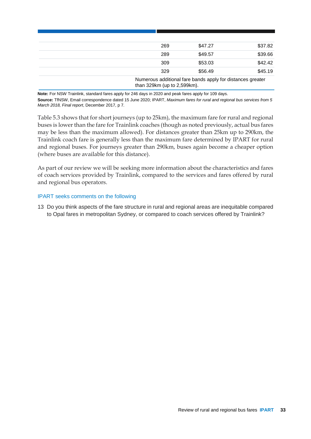| 269                         | \$47.27                                                    | \$37.82 |
|-----------------------------|------------------------------------------------------------|---------|
| 289                         | \$49.57                                                    | \$39.66 |
| 309                         | \$53.03                                                    | \$42.42 |
| 329                         | \$56.49                                                    | \$45.19 |
| than 329km (up to 2,599km). | Numerous additional fare bands apply for distances greater |         |

**Note:** For NSW Trainlink, standard fares apply for 246 days in 2020 and peak fares apply for 109 days. **Source:** TfNSW, Email correspondence dated 15 June 2020; IPART, *Maximum fares for rural and regional bus services from 5 March 2018, Final report*, December 2017, p 7.

Table 5.3 shows that for short journeys (up to 25km), the maximum fare for rural and regional buses is lower than the fare for Trainlink coaches (though as noted previously, actual bus fares may be less than the maximum allowed). For distances greater than 25km up to 290km, the Trainlink coach fare is generally less than the maximum fare determined by IPART for rural and regional buses. For journeys greater than 290km, buses again become a cheaper option (where buses are available for this distance).

As part of our review we will be seeking more information about the characteristics and fares of coach services provided by Trainlink, compared to the services and fares offered by rural and regional bus operators.

### IPART seeks comments on the following

13 Do you think aspects of the fare structure in rural and regional areas are inequitable compared to Opal fares in metropolitan Sydney, or compared to coach services offered by Trainlink?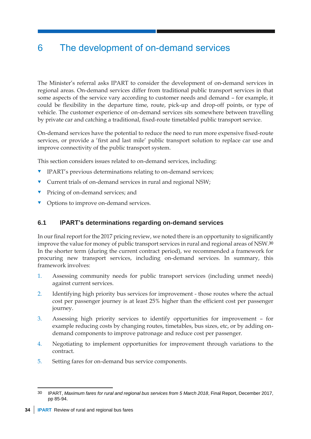# <span id="page-39-0"></span>6 The development of on-demand services

The Minister's referral asks IPART to consider the development of on-demand services in regional areas. On-demand services differ from traditional public transport services in that some aspects of the service vary according to customer needs and demand – for example, it could be flexibility in the departure time, route, pick-up and drop-off points, or type of vehicle. The customer experience of on-demand services sits somewhere between travelling by private car and catching a traditional, fixed-route timetabled public transport service.

On-demand services have the potential to reduce the need to run more expensive fixed-route services, or provide a 'first and last mile' public transport solution to replace car use and improve connectivity of the public transport system.

This section considers issues related to on-demand services, including:

- **TEART's previous determinations relating to on-demand services;**
- **v** Current trials of on-demand services in rural and regional NSW;
- **v** Pricing of on-demand services; and
- <span id="page-39-1"></span>• Options to improve on-demand services.

# **6.1 IPART's determinations regarding on-demand services**

In our final report for the 2017 pricing review, we noted there is an opportunity to significantly improve the value for money of public transport services in rural and regional areas of NSW.<sup>30</sup> In the shorter term (during the current contract period), we recommended a framework for procuring new transport services, including on-demand services. In summary, this framework involves:

- 1. Assessing community needs for public transport services (including unmet needs) against current services.
- 2. Identifying high priority bus services for improvement those routes where the actual cost per passenger journey is at least 25% higher than the efficient cost per passenger journey.
- 3. Assessing high priority services to identify opportunities for improvement for example reducing costs by changing routes, timetables, bus sizes, etc, or by adding ondemand components to improve patronage and reduce cost per passenger.
- 4. Negotiating to implement opportunities for improvement through variations to the contract.
- 5. Setting fares for on-demand bus service components.

<sup>-</sup>30 IPART, *Maximum fares for rural and regional bus services from 5 March 2018*, Final Report, December 2017, pp 85-94.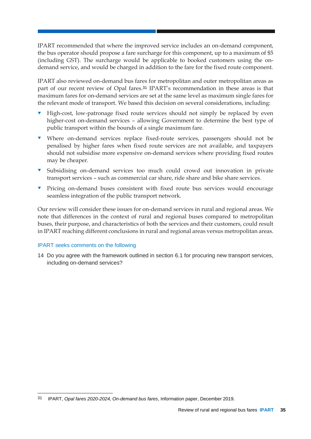IPART recommended that where the improved service includes an on-demand component, the bus operator should propose a fare surcharge for this component, up to a maximum of \$5 (including GST). The surcharge would be applicable to booked customers using the ondemand service, and would be charged in addition to the fare for the fixed route component.

IPART also reviewed on-demand bus fares for metropolitan and outer metropolitan areas as part of our recent review of Opal fares.<sup>31</sup> IPART's recommendation in these areas is that maximum fares for on-demand services are set at the same level as maximum single fares for the relevant mode of transport. We based this decision on several considerations, including:

- High-cost, low-patronage fixed route services should not simply be replaced by even higher-cost on-demand services – allowing Government to determine the best type of public transport within the bounds of a single maximum fare.
- Where on-demand services replace fixed-route services, passengers should not be penalised by higher fares when fixed route services are not available, and taxpayers should not subsidise more expensive on-demand services where providing fixed routes may be cheaper.
- Subsidising on-demand services too much could crowd out innovation in private transport services – such as commercial car share, ride share and bike share services.
- **•** Pricing on-demand buses consistent with fixed route bus services would encourage seamless integration of the public transport network.

Our review will consider these issues for on-demand services in rural and regional areas. We note that differences in the context of rural and regional buses compared to metropolitan buses, their purpose, and characteristics of both the services and their customers, could result in IPART reaching different conclusions in rural and regional areas versus metropolitan areas.

### IPART seeks comments on the following

14 Do you agree with the framework outlined in section [6.1](#page-39-1) for procuring new transport services, including on-demand services?

<sup>-</sup>31 IPART, *Opal fares 2020-2024, On-demand bus fares*, Information paper, December 2019.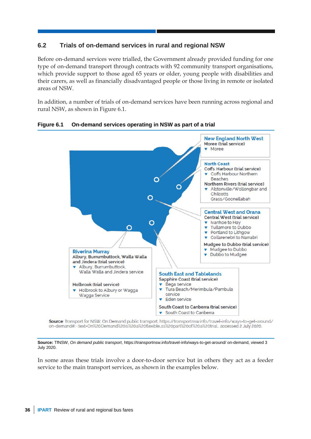# <span id="page-41-0"></span>**6.2 Trials of on-demand services in rural and regional NSW**

Before on-demand services were trialled, the Government already provided funding for one type of on-demand transport through contracts with 92 community transport organisations, which provide support to those aged 65 years or older, young people with disabilities and their carers, as well as financially disadvantaged people or those living in remote or isolated areas of NSW.

In addition, a number of trials of on-demand services have been running across regional and rural NSW, as shown in Figure 6.1.



**Figure 6.1 On-demand services operating in NSW as part of a trial**

Source: Transport for NSW, On Demand public transport, https://transportnsw.info/travel-info/ways-to-get-around/ on-demand#:~:text-On%20Demand%20is%20a%20flexible.as%20part%20of%20a%20trial..accessed 2 July 2020.

**Source:** TfNSW, *On demand public transport*, https://transportnsw.info/travel-info/ways-to-get-around/ on-demand, viewed 3 July 2020.

In some areas these trials involve a door-to-door service but in others they act as a feeder service to the main transport services, as shown in the examples below.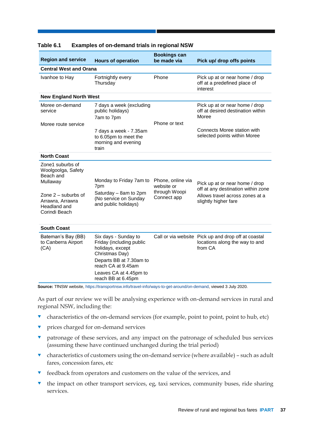| <b>Region and service</b>                                                                                    | <b>Hours of operation</b>                                                                                                                                                               | <b>Bookings can</b><br>be made via                              | Pick up/ drop offs points                                                                                                       |  |  |  |  |  |  |
|--------------------------------------------------------------------------------------------------------------|-----------------------------------------------------------------------------------------------------------------------------------------------------------------------------------------|-----------------------------------------------------------------|---------------------------------------------------------------------------------------------------------------------------------|--|--|--|--|--|--|
| <b>Central West and Orana</b>                                                                                |                                                                                                                                                                                         |                                                                 |                                                                                                                                 |  |  |  |  |  |  |
| Ivanhoe to Hay                                                                                               | Fortnightly every<br>Thursday                                                                                                                                                           | Phone                                                           | Pick up at or near home / drop<br>off at a predefined place of<br>interest                                                      |  |  |  |  |  |  |
| <b>New England North West</b>                                                                                |                                                                                                                                                                                         |                                                                 |                                                                                                                                 |  |  |  |  |  |  |
| Moree on-demand<br>service                                                                                   | 7 days a week (excluding<br>public holidays)<br>7am to 7pm                                                                                                                              |                                                                 | Pick up at or near home / drop<br>off at desired destination within<br>Moree                                                    |  |  |  |  |  |  |
| Moree route service                                                                                          |                                                                                                                                                                                         | Phone or text                                                   |                                                                                                                                 |  |  |  |  |  |  |
|                                                                                                              | 7 days a week - 7.35am<br>to 6.05pm to meet the<br>morning and evening<br>train                                                                                                         |                                                                 | Connects Moree station with<br>selected points within Moree                                                                     |  |  |  |  |  |  |
| <b>North Coast</b>                                                                                           |                                                                                                                                                                                         |                                                                 |                                                                                                                                 |  |  |  |  |  |  |
| Zone1 suburbs of<br>Woolgoolga, Safety<br>Beach and<br>Mullaway<br>Zone $2$ – suburbs of<br>Arrawra, Arrawra | Monday to Friday 7am to<br>7pm<br>Saturday - 8am to 2pm<br>(No service on Sunday<br>and public holidays)                                                                                | Phone, online via<br>website or<br>through Woopi<br>Connect app | Pick up at or near home / drop<br>off at any destination within zone<br>Allows travel across zones at a<br>slightly higher fare |  |  |  |  |  |  |
| Headland and<br>Corindi Beach                                                                                |                                                                                                                                                                                         |                                                                 |                                                                                                                                 |  |  |  |  |  |  |
| <b>South Coast</b>                                                                                           |                                                                                                                                                                                         |                                                                 |                                                                                                                                 |  |  |  |  |  |  |
| Bateman's Bay (BB)<br>to Canberra Airport<br>(CA)                                                            | Six days - Sunday to<br>Friday (including public<br>holidays, except<br>Christmas Day)<br>Departs BB at 7.30am to<br>reach CA at 9.45am<br>Leaves CA at 4.45pm to<br>reach BB at 6.45pm |                                                                 | Call or via website Pick up and drop off at coastal<br>locations along the way to and<br>from CA                                |  |  |  |  |  |  |

#### **Table 6.1 Examples of on-demand trials in regional NSW**

**Source:** TfNSW website[, https://transportnsw.info/travel-info/ways-to-get-around/on-demand,](https://transportnsw.info/travel-info/ways-to-get-around/on-demand) viewed 3 July 2020.

As part of our review we will be analysing experience with on-demand services in rural and regional NSW, including the:

- $\bullet$  characteristics of the on-demand services (for example, point to point, point to hub, etc)
- **v** prices charged for on-demand services
- **v** patronage of these services, and any impact on the patronage of scheduled bus services (assuming these have continued unchanged during the trial period)
- $\bullet$  characteristics of customers using the on-demand service (where available) such as adult fares, concession fares, etc
- $\bullet$  feedback from operators and customers on the value of the services, and
- the impact on other transport services, eg, taxi services, community buses, ride sharing services.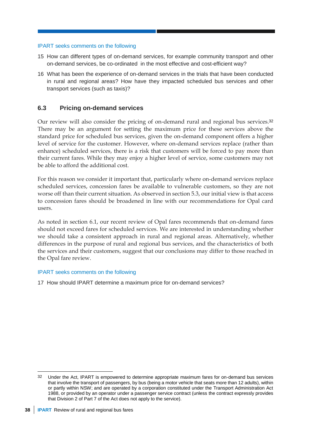- 15 How can different types of on-demand services, for example community transport and other on-demand services, be co-ordinated in the most effective and cost-efficient way?
- 16 What has been the experience of on-demand services in the trials that have been conducted in rural and regional areas? How have they impacted scheduled bus services and other transport services (such as taxis)?

# <span id="page-43-0"></span>**6.3 Pricing on-demand services**

Our review will also consider the pricing of on-demand rural and regional bus services.<sup>32</sup> There may be an argument for setting the maximum price for these services above the standard price for scheduled bus services, given the on-demand component offers a higher level of service for the customer. However, where on-demand services replace (rather than enhance) scheduled services, there is a risk that customers will be forced to pay more than their current fares. While they may enjoy a higher level of service, some customers may not be able to afford the additional cost.

For this reason we consider it important that, particularly where on-demand services replace scheduled services, concession fares be available to vulnerable customers, so they are not worse off than their current situation. As observed in section [5.3,](#page-28-0) our initial view is that access to concession fares should be broadened in line with our recommendations for Opal card users.

As noted in section [6.1,](#page-39-1) our recent review of Opal fares recommends that on-demand fares should not exceed fares for scheduled services. We are interested in understanding whether we should take a consistent approach in rural and regional areas. Alternatively, whether differences in the purpose of rural and regional bus services, and the characteristics of both the services and their customers, suggest that our conclusions may differ to those reached in the Opal fare review.

### IPART seeks comments on the following

17 How should IPART determine a maximum price for on-demand services?

<sup>-</sup>32 Under the Act, IPART is empowered to determine appropriate maximum fares for on-demand bus services that involve the transport of passengers, by bus (being a motor vehicle that seats more than 12 adults), within or partly within NSW; and are operated by a corporation constituted under the Transport Administration Act 1988, or provided by an operator under a passenger service contract (unless the contract expressly provides that Division 2 of Part 7 of the Act does not apply to the service).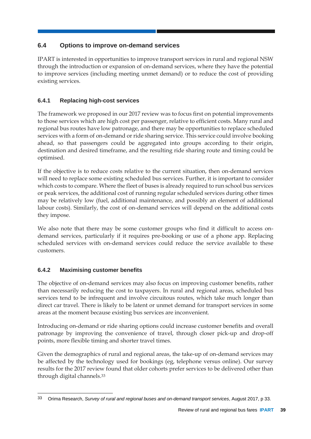# <span id="page-44-0"></span>**6.4 Options to improve on-demand services**

IPART is interested in opportunities to improve transport services in rural and regional NSW through the introduction or expansion of on-demand services, where they have the potential to improve services (including meeting unmet demand) or to reduce the cost of providing existing services.

# **6.4.1 Replacing high-cost services**

The framework we proposed in our 2017 review was to focus first on potential improvements to those services which are high cost per passenger, relative to efficient costs. Many rural and regional bus routes have low patronage, and there may be opportunities to replace scheduled services with a form of on-demand or ride sharing service. This service could involve booking ahead, so that passengers could be aggregated into groups according to their origin, destination and desired timeframe, and the resulting ride sharing route and timing could be optimised.

If the objective is to reduce costs relative to the current situation, then on-demand services will need to replace some existing scheduled bus services. Further, it is important to consider which costs to compare. Where the fleet of buses is already required to run school bus services or peak services, the additional cost of running regular scheduled services during other times may be relatively low (fuel, additional maintenance, and possibly an element of additional labour costs). Similarly, the cost of on-demand services will depend on the additional costs they impose.

We also note that there may be some customer groups who find it difficult to access ondemand services, particularly if it requires pre-booking or use of a phone app. Replacing scheduled services with on-demand services could reduce the service available to these customers.

# **6.4.2 Maximising customer benefits**

The objective of on-demand services may also focus on improving customer benefits, rather than necessarily reducing the cost to taxpayers. In rural and regional areas, scheduled bus services tend to be infrequent and involve circuitous routes, which take much longer than direct car travel. There is likely to be latent or unmet demand for transport services in some areas at the moment because existing bus services are inconvenient.

Introducing on-demand or ride sharing options could increase customer benefits and overall patronage by improving the convenience of travel, through closer pick-up and drop-off points, more flexible timing and shorter travel times.

Given the demographics of rural and regional areas, the take-up of on-demand services may be affected by the technology used for bookings (eg, telephone versus online). Our survey results for the 2017 review found that older cohorts prefer services to be delivered other than through digital channels.<sup>33</sup>

<sup>-</sup>33 Orima Research, *Survey of rural and regional buses and on-demand transport services*, August 2017, p 33.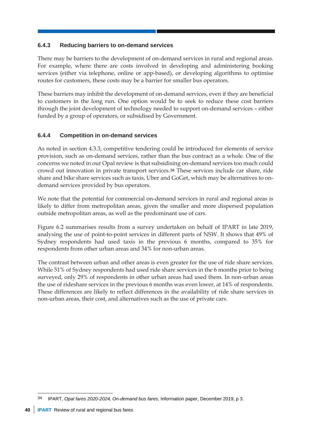# **6.4.3 Reducing barriers to on-demand services**

There may be barriers to the development of on-demand services in rural and regional areas. For example, where there are costs involved in developing and administering booking services (either via telephone, online or app-based), or developing algorithms to optimise routes for customers, these costs may be a barrier for smaller bus operators.

These barriers may inhibit the development of on-demand services, even if they are beneficial to customers in the long run. One option would be to seek to reduce these cost barriers through the joint development of technology needed to support on-demand services – either funded by a group of operators, or subsidised by Government.

# **6.4.4 Competition in on-demand services**

As noted in section [4.3.3,](#page-24-0) competitive tendering could be introduced for elements of service provision, such as on-demand services, rather than the bus contract as a whole. One of the concerns we noted in our Opal review is that subsidising on-demand services too much could crowd out innovation in private transport services.<sup>34</sup> These services include car share, ride share and bike share services such as taxis, Uber and GoGet, which may be alternatives to ondemand services provided by bus operators.

We note that the potential for commercial on-demand services in rural and regional areas is likely to differ from metropolitan areas, given the smaller and more dispersed population outside metropolitan areas, as well as the predominant use of cars.

Figure 6.2 summarises results from a survey undertaken on behalf of IPART in late 2019, analysing the use of point-to-point services in different parts of NSW. It shows that 49% of Sydney respondents had used taxis in the previous 6 months, compared to 35% for respondents from other urban areas and 34% for non-urban areas.

The contrast between urban and other areas is even greater for the use of ride share services. While 51% of Sydney respondents had used ride share services in the 6 months prior to being surveyed, only 29% of respondents in other urban areas had used them. In non-urban areas the use of rideshare services in the previous 6 months was even lower, at 14% of respondents. These differences are likely to reflect differences in the availability of ride share services in non-urban areas, their cost, and alternatives such as the use of private cars.

<sup>-</sup>34 IPART, *Opal fares 2020-2024, On-demand bus fares*, Information paper, December 2019, p 3.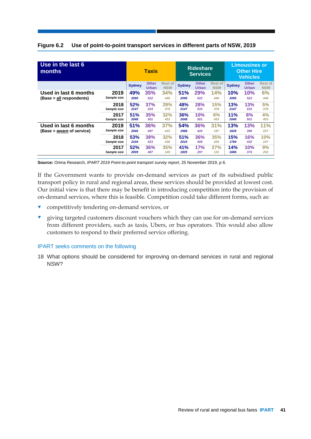|  | Figure 6.2 Use of point-to-point transport services in different parts of NSW, 2019 |
|--|-------------------------------------------------------------------------------------|
|--|-------------------------------------------------------------------------------------|

| Use in the last 6<br>months |             | <b>Taxis</b>  |                              | <b>Rideshare</b><br><b>Services</b> |               |                              | <b>Limousines or</b><br><b>Other Hire</b><br>Vehicles |               |                              |                              |
|-----------------------------|-------------|---------------|------------------------------|-------------------------------------|---------------|------------------------------|-------------------------------------------------------|---------------|------------------------------|------------------------------|
|                             |             | <b>Sydney</b> | <b>Other</b><br><b>Urban</b> | <b>Rest of</b><br><b>NSW</b>        | <b>Sydney</b> | <b>Other</b><br><b>Urban</b> | <b>Rest of</b><br><b>NSW</b>                          | <b>Sydney</b> | <b>Other</b><br><b>Urban</b> | <b>Rest of</b><br><b>NSW</b> |
| Used in last 6 months       | 2019        | 49%           | 35%                          | 34%                                 | 51%           | 29%                          | 14%                                                   | 10%           | 10%                          | 6%                           |
| (Base = all respondents)    | Sample size | 2095          | 522                          | 446                                 | 2095          | 522                          | 446                                                   | 2095          | 522                          | 446                          |
|                             | 2018        | 52%           | 37%                          | 29%                                 | 48%           | <b>28%</b>                   | 15%                                                   | 13%           | 13%                          | 5%                           |
|                             | Sample size | 2147          | 533                          | 478                                 | 2147          | 533                          | 478                                                   | 2147          | 533                          | 478                          |
|                             | 2017        | 51%           | 35%                          | 32%                                 | 36%           | 10%                          | 8%                                                    | 11%           | 8%                           | 4%                           |
|                             | Sample size | 2048          | 501                          | 453                                 | 2048          | 501                          | 453                                                   | 2048          | 501                          | 453                          |
| Used in last 6 months       | 2019        | 51%           | 36%                          | 37%                                 | 54%           | 36%                          | 31%                                                   | 13%           | 13%                          | 11%                          |
| (Base = aware of service)   | Sample size | 2040          | 497                          | 415                                 | 1968          | 420                          | 197                                                   | 1626          | 396                          | 227                          |
|                             | 2018        | 53%           | <b>38%</b>                   | 32%                                 | 51%           | 36%                          | 35%                                                   | 15%           | <b>16%</b>                   | 10%                          |
|                             | Sample size | 2104          | 523                          | 438                                 | 2015          | 409                          | 205                                                   | 1784          | 432                          | 247                          |
|                             | 2017        | 52%           | 36%                          | 35%                                 | 41%           | 17%                          | 27%                                                   | 14%           | 10%                          | 9%                           |
|                             | Sample size | 2009          | 487                          | 146                                 | 1825          | 297                          | 131                                                   | 1686          | 374                          | 202                          |

**Source:** Orima Research, *IPART 2019 Point-to-point transport survey report*, 25 November 2019, p 6.

If the Government wants to provide on-demand services as part of its subsidised public transport policy in rural and regional areas, these services should be provided at lowest cost. Our initial view is that there may be benefit in introducing competition into the provision of on-demand services, where this is feasible. Competition could take different forms, such as:

- **v** competitively tendering on-demand services, or
- giving targeted customers discount vouchers which they can use for on-demand services from different providers, such as taxis, Ubers, or bus operators. This would also allow customers to respond to their preferred service offering.

#### IPART seeks comments on the following

18 What options should be considered for improving on-demand services in rural and regional NSW?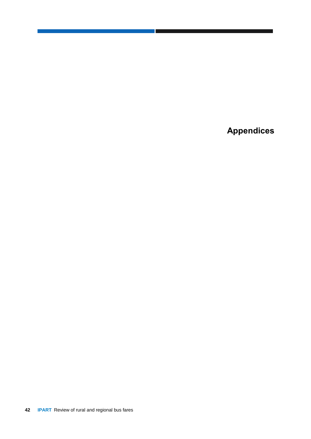<span id="page-47-0"></span>**Appendices**